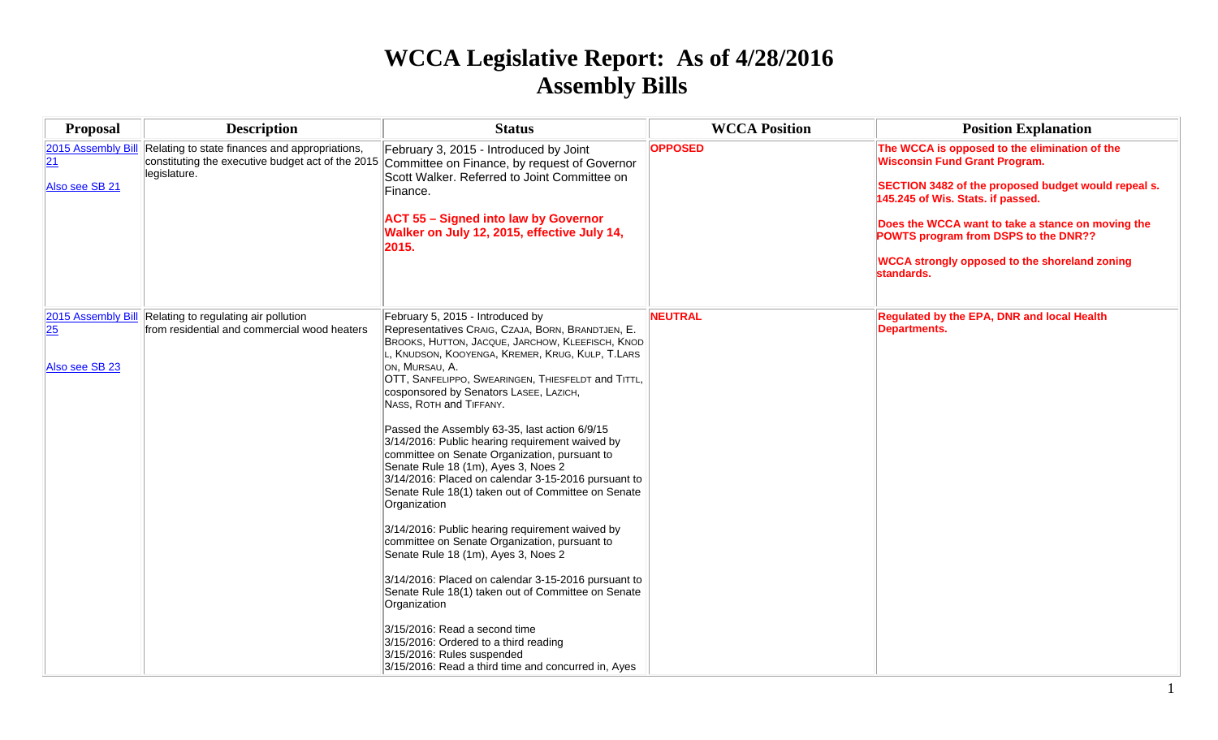# **WCCA Legislative Report: As of 4/28/2016 Assembly Bills**

| <b>Proposal</b>                            | <b>Description</b>                                                                   | <b>Status</b>                                                                                                                                                                                                                                                                                                                                                                                                                                                                                                                                                                                                                                                                                                                                                                                                                                                                                                                                                                                                                                                                                             | <b>WCCA Position</b> | <b>Position Explanation</b>                                                                                                                                                                                                                                                                                                                          |
|--------------------------------------------|--------------------------------------------------------------------------------------|-----------------------------------------------------------------------------------------------------------------------------------------------------------------------------------------------------------------------------------------------------------------------------------------------------------------------------------------------------------------------------------------------------------------------------------------------------------------------------------------------------------------------------------------------------------------------------------------------------------------------------------------------------------------------------------------------------------------------------------------------------------------------------------------------------------------------------------------------------------------------------------------------------------------------------------------------------------------------------------------------------------------------------------------------------------------------------------------------------------|----------------------|------------------------------------------------------------------------------------------------------------------------------------------------------------------------------------------------------------------------------------------------------------------------------------------------------------------------------------------------------|
| 2015 Assembly Bill<br>21<br>Also see SB 21 | Relating to state finances and appropriations,<br>legislature.                       | February 3, 2015 - Introduced by Joint<br>constituting the executive budget act of the 2015 Committee on Finance, by request of Governor<br>Scott Walker, Referred to Joint Committee on<br>Finance.<br><b>ACT 55 - Signed into law by Governor</b><br>Walker on July 12, 2015, effective July 14,<br>2015.                                                                                                                                                                                                                                                                                                                                                                                                                                                                                                                                                                                                                                                                                                                                                                                               | <b>OPPOSED</b>       | The WCCA is opposed to the elimination of the<br><b>Wisconsin Fund Grant Program.</b><br>SECTION 3482 of the proposed budget would repeal s.<br>145.245 of Wis. Stats. if passed.<br>Does the WCCA want to take a stance on moving the<br>POWTS program from DSPS to the DNR??<br><b>WCCA strongly opposed to the shoreland zoning</b><br>standards. |
| 2015 Assembly Bill<br>25<br>Also see SB 23 | Relating to regulating air pollution<br>from residential and commercial wood heaters | February 5, 2015 - Introduced by<br>Representatives CRAIG, CZAJA, BORN, BRANDTJEN, E.<br>BROOKS, HUTTON, JACQUE, JARCHOW, KLEEFISCH, KNOD<br>, KNUDSON, KOOYENGA, KREMER, KRUG, KULP, T.LARS<br>ON, MURSAU, A.<br>OTT, SANFELIPPO, SWEARINGEN, THIESFELDT and TITTL,<br>cosponsored by Senators LASEE, LAZICH,<br>NASS, ROTH and TIFFANY.<br>Passed the Assembly 63-35, last action 6/9/15<br>3/14/2016: Public hearing requirement waived by<br>committee on Senate Organization, pursuant to<br>Senate Rule 18 (1m), Ayes 3, Noes 2<br>3/14/2016: Placed on calendar 3-15-2016 pursuant to<br>Senate Rule 18(1) taken out of Committee on Senate<br>Organization<br>3/14/2016: Public hearing requirement waived by<br>committee on Senate Organization, pursuant to<br>Senate Rule 18 (1m), Ayes 3, Noes 2<br>3/14/2016: Placed on calendar 3-15-2016 pursuant to<br>Senate Rule 18(1) taken out of Committee on Senate<br>Organization<br>3/15/2016: Read a second time<br>3/15/2016: Ordered to a third reading<br>3/15/2016: Rules suspended<br>3/15/2016: Read a third time and concurred in, Ayes | <b>NEUTRAL</b>       | Regulated by the EPA, DNR and local Health<br><b>Departments.</b>                                                                                                                                                                                                                                                                                    |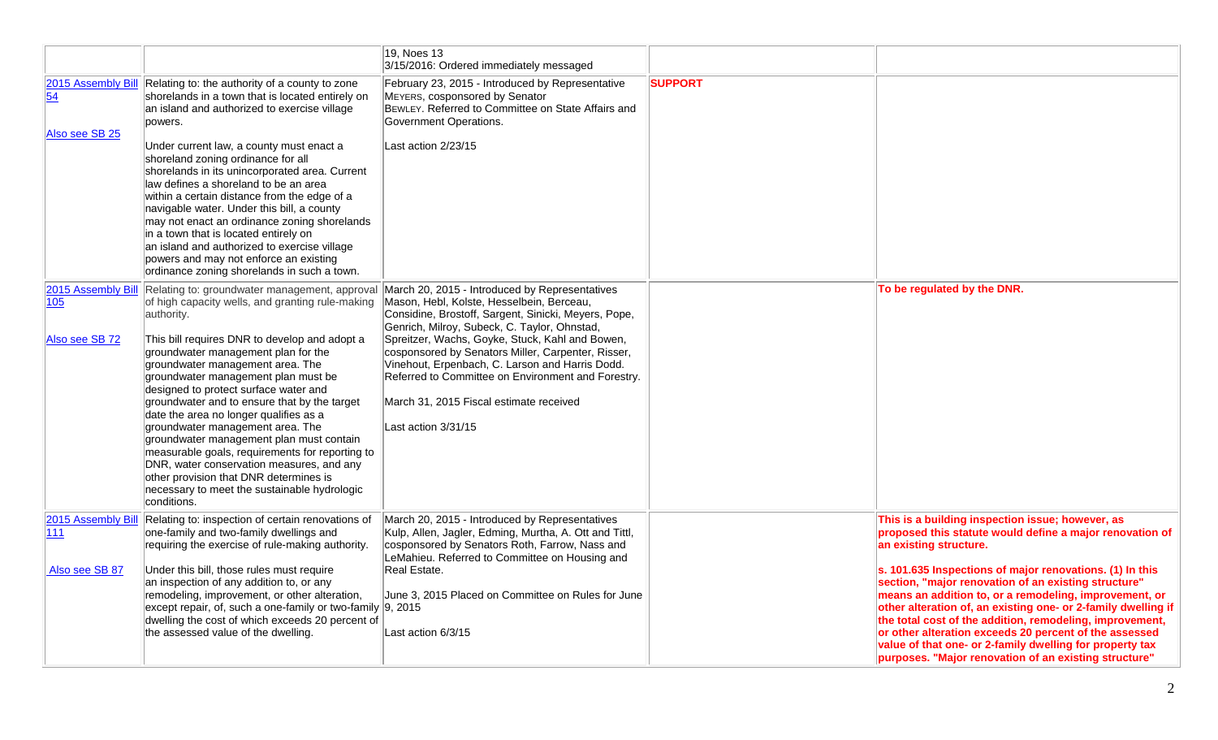|                                             |                                                                                                                                                                                                                                                                                                                                                                                                                                                                                                                                                                                                                                                                                                                | 19, Noes 13<br>3/15/2016: Ordered immediately messaged                                                                                                                                                                                                                                                                                                                                                                                                                                  |                |                                                                                                                                                                                                                                                                                                                                                                                                                                                                                                                                                                                                                                  |
|---------------------------------------------|----------------------------------------------------------------------------------------------------------------------------------------------------------------------------------------------------------------------------------------------------------------------------------------------------------------------------------------------------------------------------------------------------------------------------------------------------------------------------------------------------------------------------------------------------------------------------------------------------------------------------------------------------------------------------------------------------------------|-----------------------------------------------------------------------------------------------------------------------------------------------------------------------------------------------------------------------------------------------------------------------------------------------------------------------------------------------------------------------------------------------------------------------------------------------------------------------------------------|----------------|----------------------------------------------------------------------------------------------------------------------------------------------------------------------------------------------------------------------------------------------------------------------------------------------------------------------------------------------------------------------------------------------------------------------------------------------------------------------------------------------------------------------------------------------------------------------------------------------------------------------------------|
| 2015 Assembly Bill<br>54<br>Also see SB 25  | Relating to: the authority of a county to zone<br>shorelands in a town that is located entirely on<br>an island and authorized to exercise village<br>powers.<br>Under current law, a county must enact a                                                                                                                                                                                                                                                                                                                                                                                                                                                                                                      | February 23, 2015 - Introduced by Representative<br>MEYERS, cosponsored by Senator<br>BEWLEY. Referred to Committee on State Affairs and<br>Government Operations.<br>Last action 2/23/15                                                                                                                                                                                                                                                                                               | <b>SUPPORT</b> |                                                                                                                                                                                                                                                                                                                                                                                                                                                                                                                                                                                                                                  |
|                                             | shoreland zoning ordinance for all<br>shorelands in its unincorporated area. Current<br>law defines a shoreland to be an area<br>within a certain distance from the edge of a<br>navigable water. Under this bill, a county<br>may not enact an ordinance zoning shorelands<br>in a town that is located entirely on<br>an island and authorized to exercise village<br>powers and may not enforce an existing<br>ordinance zoning shorelands in such a town.                                                                                                                                                                                                                                                  |                                                                                                                                                                                                                                                                                                                                                                                                                                                                                         |                |                                                                                                                                                                                                                                                                                                                                                                                                                                                                                                                                                                                                                                  |
| 2015 Assembly Bill<br>105<br>Also see SB 72 | Relating to: groundwater management, approval<br>of high capacity wells, and granting rule-making<br>authority.<br>This bill requires DNR to develop and adopt a<br>groundwater management plan for the<br>groundwater management area. The<br>groundwater management plan must be<br>designed to protect surface water and<br>groundwater and to ensure that by the target<br>date the area no longer qualifies as a<br>groundwater management area. The<br>groundwater management plan must contain<br>measurable goals, requirements for reporting to<br>DNR, water conservation measures, and any<br>other provision that DNR determines is<br>necessary to meet the sustainable hydrologic<br>conditions. | March 20, 2015 - Introduced by Representatives<br>Mason, Hebl, Kolste, Hesselbein, Berceau,<br>Considine, Brostoff, Sargent, Sinicki, Meyers, Pope,<br>Genrich, Milroy, Subeck, C. Taylor, Ohnstad,<br>Spreitzer, Wachs, Goyke, Stuck, Kahl and Bowen,<br>cosponsored by Senators Miller, Carpenter, Risser,<br>Vinehout, Erpenbach, C. Larson and Harris Dodd.<br>Referred to Committee on Environment and Forestry.<br>March 31, 2015 Fiscal estimate received<br>Last action 3/31/15 |                | To be regulated by the DNR.                                                                                                                                                                                                                                                                                                                                                                                                                                                                                                                                                                                                      |
| 2015 Assembly Bill<br>111<br>Also see SB 87 | Relating to: inspection of certain renovations of<br>one-family and two-family dwellings and<br>requiring the exercise of rule-making authority.<br>Under this bill, those rules must require<br>an inspection of any addition to, or any<br>remodeling, improvement, or other alteration,<br>except repair, of, such a one-family or two-family $ 9, 2015\rangle$<br>dwelling the cost of which exceeds 20 percent of<br>the assessed value of the dwelling.                                                                                                                                                                                                                                                  | March 20, 2015 - Introduced by Representatives<br>Kulp, Allen, Jagler, Edming, Murtha, A. Ott and Tittl,<br>cosponsored by Senators Roth, Farrow, Nass and<br>LeMahieu. Referred to Committee on Housing and<br>Real Estate.<br>June 3, 2015 Placed on Committee on Rules for June<br>Last action 6/3/15                                                                                                                                                                                |                | This is a building inspection issue; however, as<br>proposed this statute would define a major renovation of<br>an existing structure.<br>s. 101.635 Inspections of major renovations. (1) In this<br>section, "major renovation of an existing structure"<br>means an addition to, or a remodeling, improvement, or<br>other alteration of, an existing one- or 2-family dwelling if<br>the total cost of the addition, remodeling, improvement,<br>or other alteration exceeds 20 percent of the assessed<br>value of that one- or 2-family dwelling for property tax<br>purposes. "Major renovation of an existing structure" |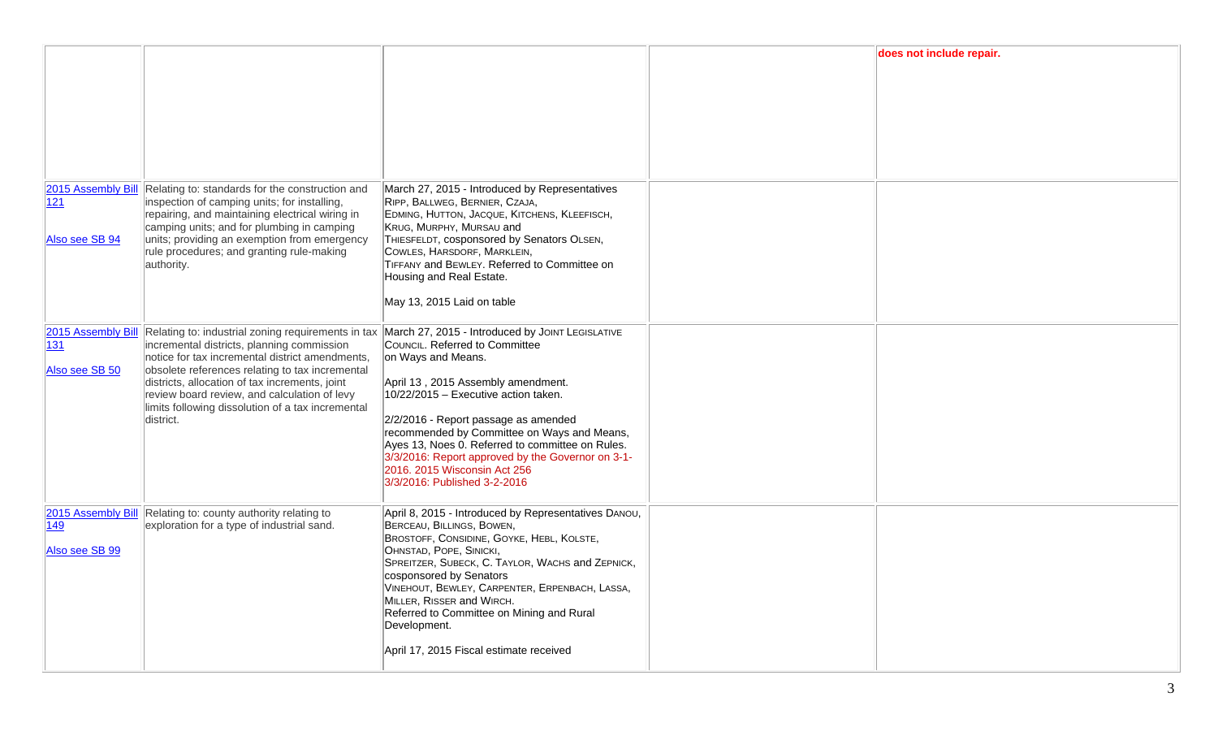|                                              |                                                                                                                                                                                                                                                                                                                                                                            |                                                                                                                                                                                                                                                                                                                                                                                                                                                        | does not include repair. |
|----------------------------------------------|----------------------------------------------------------------------------------------------------------------------------------------------------------------------------------------------------------------------------------------------------------------------------------------------------------------------------------------------------------------------------|--------------------------------------------------------------------------------------------------------------------------------------------------------------------------------------------------------------------------------------------------------------------------------------------------------------------------------------------------------------------------------------------------------------------------------------------------------|--------------------------|
| 121<br>Also see SB 94                        | 2015 Assembly Bill Relating to: standards for the construction and<br>inspection of camping units; for installing,<br>repairing, and maintaining electrical wiring in<br>camping units; and for plumbing in camping<br>units; providing an exemption from emergency<br>rule procedures; and granting rule-making<br>authority.                                             | March 27, 2015 - Introduced by Representatives<br>RIPP, BALLWEG, BERNIER, CZAJA,<br>EDMING, HUTTON, JACQUE, KITCHENS, KLEEFISCH,<br>KRUG, MURPHY, MURSAU and<br>THIESFELDT, cosponsored by Senators OLSEN,<br>COWLES, HARSDORF, MARKLEIN,<br>TIFFANY and BEWLEY. Referred to Committee on<br>Housing and Real Estate.<br>May 13, 2015 Laid on table                                                                                                    |                          |
| 2015 Assembly Bill<br> 131<br>Also see SB 50 | Relating to: industrial zoning requirements in tax<br>incremental districts, planning commission<br>notice for tax incremental district amendments,<br>obsolete references relating to tax incremental<br>districts, allocation of tax increments, joint<br>review board review, and calculation of levy<br>limits following dissolution of a tax incremental<br>district. | March 27, 2015 - Introduced by JOINT LEGISLATIVE<br>COUNCIL. Referred to Committee<br>on Ways and Means.<br>April 13, 2015 Assembly amendment.<br>10/22/2015 - Executive action taken.<br>2/2/2016 - Report passage as amended<br>recommended by Committee on Ways and Means,<br>Ayes 13, Noes 0. Referred to committee on Rules.<br>3/3/2016: Report approved by the Governor on 3-1-<br>2016. 2015 Wisconsin Act 256<br>3/3/2016: Published 3-2-2016 |                          |
| 149<br>Also see SB 99                        | 2015 Assembly Bill Relating to: county authority relating to<br>exploration for a type of industrial sand.                                                                                                                                                                                                                                                                 | April 8, 2015 - Introduced by Representatives DANOU,<br>BERCEAU, BILLINGS, BOWEN,<br>BROSTOFF, CONSIDINE, GOYKE, HEBL, KOLSTE,<br>OHNSTAD, POPE, SINICKI,<br>SPREITZER, SUBECK, C. TAYLOR, WACHS and ZEPNICK,<br>cosponsored by Senators<br>VINEHOUT, BEWLEY, CARPENTER, ERPENBACH, LASSA,<br>MILLER, RISSER and WIRCH.<br>Referred to Committee on Mining and Rural<br>Development.<br>April 17, 2015 Fiscal estimate received                        |                          |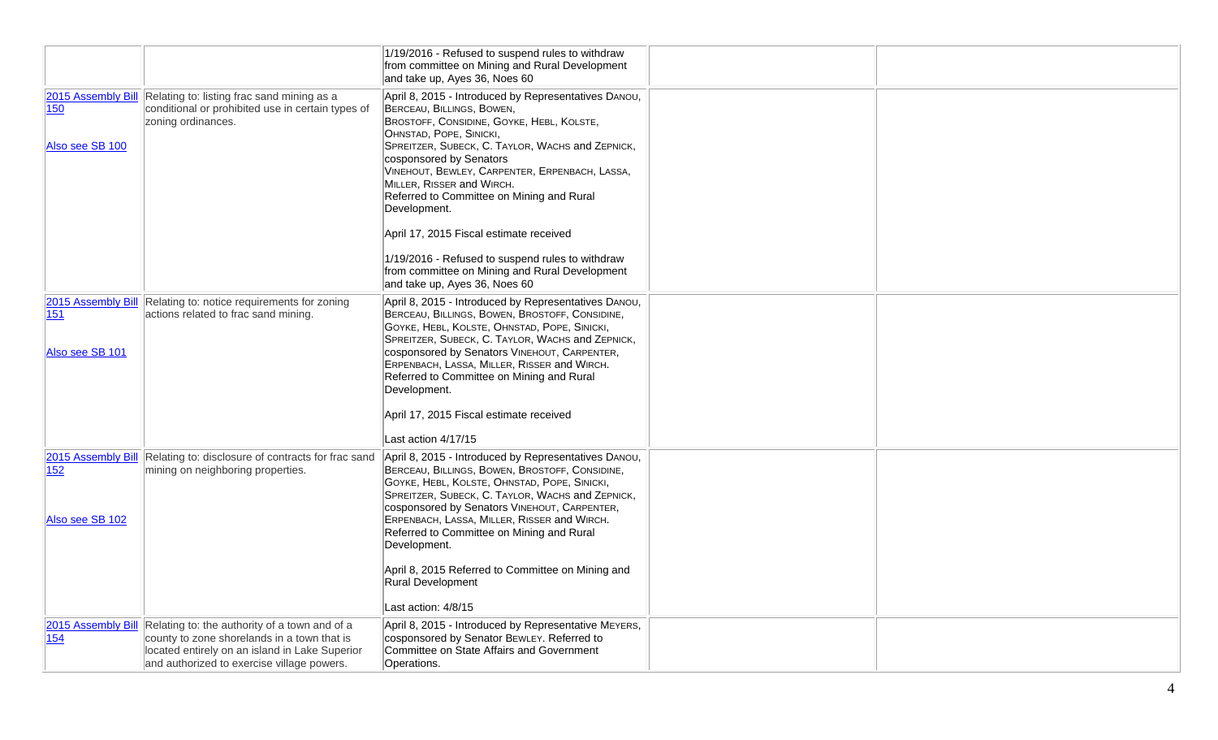|                                                           |                                                                                                                                                                                              | 1/19/2016 - Refused to suspend rules to withdraw<br>from committee on Mining and Rural Development<br>and take up, Ayes 36, Noes 60                                                                                                                                                                                                                                                                                                                                                                                                                                    |  |
|-----------------------------------------------------------|----------------------------------------------------------------------------------------------------------------------------------------------------------------------------------------------|------------------------------------------------------------------------------------------------------------------------------------------------------------------------------------------------------------------------------------------------------------------------------------------------------------------------------------------------------------------------------------------------------------------------------------------------------------------------------------------------------------------------------------------------------------------------|--|
| 150<br>Also see SB 100                                    | 2015 Assembly Bill Relating to: listing frac sand mining as a<br>conditional or prohibited use in certain types of<br>zoning ordinances.                                                     | April 8, 2015 - Introduced by Representatives DANOU,<br>BERCEAU, BILLINGS, BOWEN,<br>BROSTOFF, CONSIDINE, GOYKE, HEBL, KOLSTE,<br>OHNSTAD, POPE, SINICKI,<br>SPREITZER, SUBECK, C. TAYLOR, WACHS and ZEPNICK,<br>cosponsored by Senators<br>VINEHOUT, BEWLEY, CARPENTER, ERPENBACH, LASSA,<br>MILLER, RISSER and WIRCH.<br>Referred to Committee on Mining and Rural<br>Development.<br>April 17, 2015 Fiscal estimate received<br>1/19/2016 - Refused to suspend rules to withdraw<br>from committee on Mining and Rural Development<br>and take up, Ayes 36, Noes 60 |  |
| 151<br>Also see SB 101                                    | 2015 Assembly Bill Relating to: notice requirements for zoning<br>actions related to frac sand mining.                                                                                       | April 8, 2015 - Introduced by Representatives DANOU,<br>BERCEAU, BILLINGS, BOWEN, BROSTOFF, CONSIDINE,<br>GOYKE, HEBL, KOLSTE, OHNSTAD, POPE, SINICKI,<br>SPREITZER, SUBECK, C. TAYLOR, WACHS and ZEPNICK,<br>cosponsored by Senators VINEHOUT, CARPENTER,<br>ERPENBACH, LASSA, MILLER, RISSER and WIRCH.<br>Referred to Committee on Mining and Rural<br>Development.<br>April 17, 2015 Fiscal estimate received<br>Last action 4/17/15                                                                                                                               |  |
| 2015 Assembly Bill<br>$\overline{152}$<br>Also see SB 102 | Relating to: disclosure of contracts for frac sand<br>mining on neighboring properties.                                                                                                      | April 8, 2015 - Introduced by Representatives DANOU,<br>BERCEAU, BILLINGS, BOWEN, BROSTOFF, CONSIDINE,<br>GOYKE, HEBL, KOLSTE, OHNSTAD, POPE, SINICKI,<br>SPREITZER, SUBECK, C. TAYLOR, WACHS and ZEPNICK,<br>cosponsored by Senators VINEHOUT, CARPENTER,<br>ERPENBACH, LASSA, MILLER, RISSER and WIRCH.<br>Referred to Committee on Mining and Rural<br>Development.<br>April 8, 2015 Referred to Committee on Mining and<br>Rural Development<br>Last action: 4/8/15                                                                                                |  |
| 2015 Assembly Bill<br>154                                 | Relating to: the authority of a town and of a<br>county to zone shorelands in a town that is<br>located entirely on an island in Lake Superior<br>and authorized to exercise village powers. | April 8, 2015 - Introduced by Representative MEYERS,<br>cosponsored by Senator BEWLEY. Referred to<br>Committee on State Affairs and Government<br>Operations.                                                                                                                                                                                                                                                                                                                                                                                                         |  |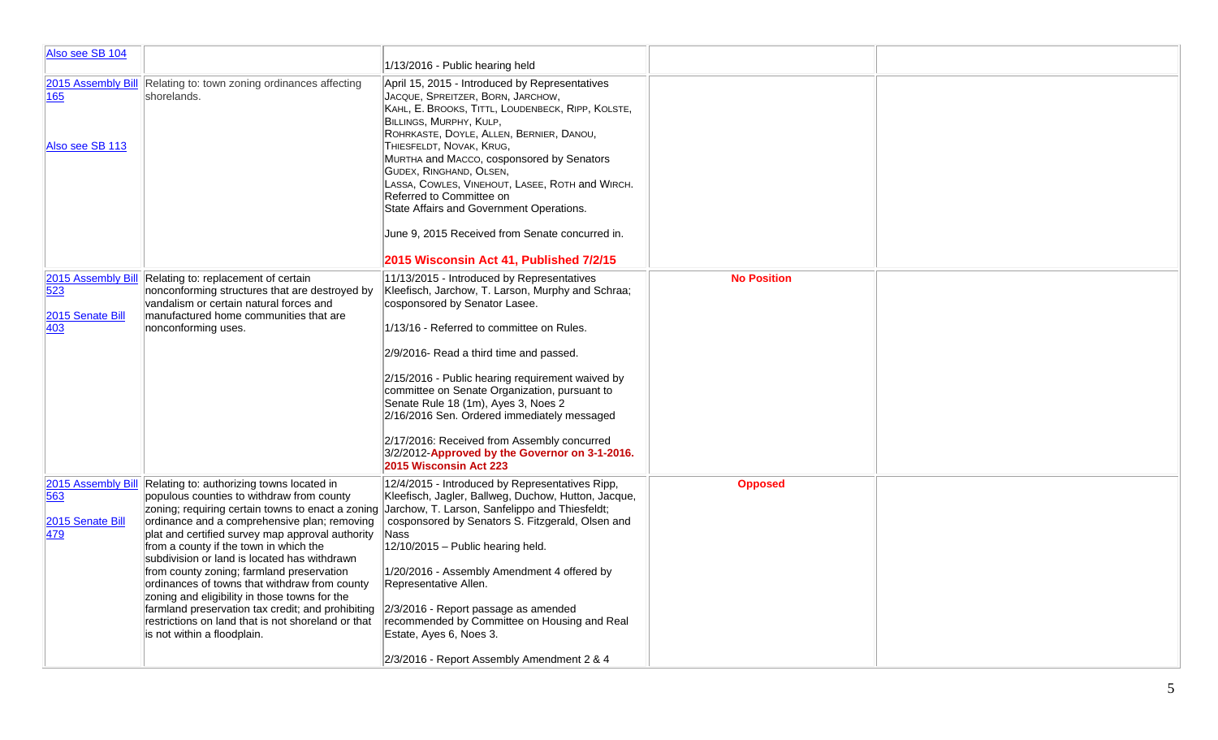| Also see SB 104                                      |                                                                                                                                                                                                                                                                                                                                                                                                                                                                                                                                                                                                                                    | 1/13/2016 - Public hearing held                                                                                                                                                                                                                                                                                                                                                                                                                                                                                                                |                    |  |
|------------------------------------------------------|------------------------------------------------------------------------------------------------------------------------------------------------------------------------------------------------------------------------------------------------------------------------------------------------------------------------------------------------------------------------------------------------------------------------------------------------------------------------------------------------------------------------------------------------------------------------------------------------------------------------------------|------------------------------------------------------------------------------------------------------------------------------------------------------------------------------------------------------------------------------------------------------------------------------------------------------------------------------------------------------------------------------------------------------------------------------------------------------------------------------------------------------------------------------------------------|--------------------|--|
| 165<br>Also see SB 113                               | 2015 Assembly Bill Relating to: town zoning ordinances affecting<br>shorelands.                                                                                                                                                                                                                                                                                                                                                                                                                                                                                                                                                    | April 15, 2015 - Introduced by Representatives<br>JACQUE, SPREITZER, BORN, JARCHOW,<br>KAHL, E. BROOKS, TITTL, LOUDENBECK, RIPP, KOLSTE,<br>BILLINGS, MURPHY, KULP,<br>ROHRKASTE, DOYLE, ALLEN, BERNIER, DANOU,<br>THIESFELDT, NOVAK, KRUG,<br>MURTHA and MACCO, cosponsored by Senators<br>GUDEX, RINGHAND, OLSEN,<br>LASSA, COWLES, VINEHOUT, LASEE, ROTH and WIRCH.<br>Referred to Committee on<br>State Affairs and Government Operations.<br>June 9, 2015 Received from Senate concurred in.<br>2015 Wisconsin Act 41, Published 7/2/15   |                    |  |
| 2015 Assembly Bill<br>523<br>2015 Senate Bill<br>403 | Relating to: replacement of certain<br>nonconforming structures that are destroyed by<br>vandalism or certain natural forces and<br>manufactured home communities that are<br>nonconforming uses.                                                                                                                                                                                                                                                                                                                                                                                                                                  | 11/13/2015 - Introduced by Representatives<br>Kleefisch, Jarchow, T. Larson, Murphy and Schraa;<br>cosponsored by Senator Lasee.<br>1/13/16 - Referred to committee on Rules.<br>2/9/2016- Read a third time and passed.<br>2/15/2016 - Public hearing requirement waived by<br>committee on Senate Organization, pursuant to<br>Senate Rule 18 (1m), Ayes 3, Noes 2<br>2/16/2016 Sen. Ordered immediately messaged<br>2/17/2016: Received from Assembly concurred<br>3/2/2012-Approved by the Governor on 3-1-2016.<br>2015 Wisconsin Act 223 | <b>No Position</b> |  |
| 2015 Assembly Bill<br>563<br>2015 Senate Bill<br>479 | Relating to: authorizing towns located in<br>populous counties to withdraw from county<br>zoning; requiring certain towns to enact a zoning<br>ordinance and a comprehensive plan; removing<br>plat and certified survey map approval authority<br>from a county if the town in which the<br>subdivision or land is located has withdrawn<br>from county zoning; farmland preservation<br>ordinances of towns that withdraw from county<br>zoning and eligibility in those towns for the<br>farmland preservation tax credit; and prohibiting<br>restrictions on land that is not shoreland or that<br>is not within a floodplain. | 12/4/2015 - Introduced by Representatives Ripp,<br>Kleefisch, Jagler, Ballweg, Duchow, Hutton, Jacque,<br>Jarchow, T. Larson, Sanfelippo and Thiesfeldt;<br>cosponsored by Senators S. Fitzgerald, Olsen and<br>Nass<br>12/10/2015 - Public hearing held.<br>1/20/2016 - Assembly Amendment 4 offered by<br>Representative Allen.<br>2/3/2016 - Report passage as amended<br>recommended by Committee on Housing and Real<br>Estate, Ayes 6, Noes 3.<br>2/3/2016 - Report Assembly Amendment 2 & 4                                             | <b>Opposed</b>     |  |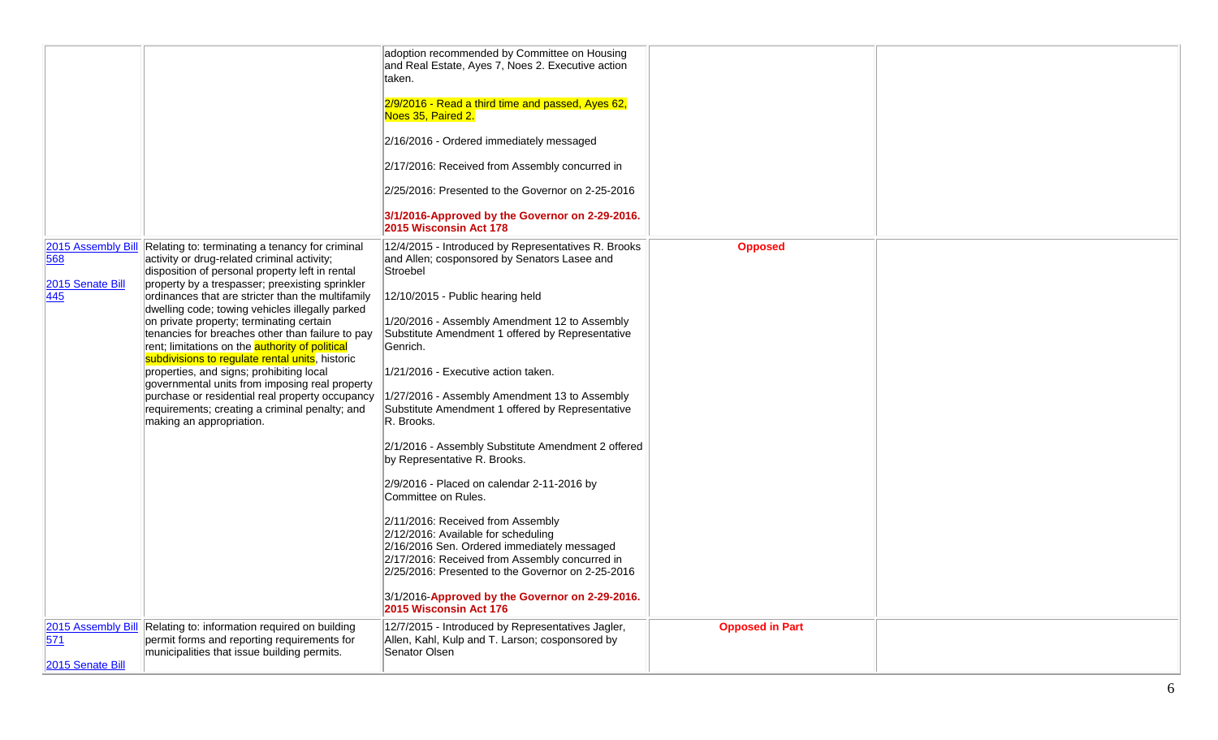|                           |                                                                                                                               | adoption recommended by Committee on Housing<br>and Real Estate, Ayes 7, Noes 2. Executive action<br>ltaken.                                                                                                                   |                        |  |
|---------------------------|-------------------------------------------------------------------------------------------------------------------------------|--------------------------------------------------------------------------------------------------------------------------------------------------------------------------------------------------------------------------------|------------------------|--|
|                           |                                                                                                                               | 2/9/2016 - Read a third time and passed, Ayes 62,<br>Noes 35, Paired 2.                                                                                                                                                        |                        |  |
|                           |                                                                                                                               | 2/16/2016 - Ordered immediately messaged                                                                                                                                                                                       |                        |  |
|                           |                                                                                                                               | 2/17/2016: Received from Assembly concurred in                                                                                                                                                                                 |                        |  |
|                           |                                                                                                                               | 2/25/2016: Presented to the Governor on 2-25-2016                                                                                                                                                                              |                        |  |
|                           |                                                                                                                               | 3/1/2016-Approved by the Governor on 2-29-2016.<br>2015 Wisconsin Act 178                                                                                                                                                      |                        |  |
| 2015 Assembly Bill<br>568 | Relating to: terminating a tenancy for criminal<br>activity or drug-related criminal activity;                                | 12/4/2015 - Introduced by Representatives R. Brooks<br>and Allen; cosponsored by Senators Lasee and                                                                                                                            | <b>Opposed</b>         |  |
| 2015 Senate Bill          | disposition of personal property left in rental<br>property by a trespasser; preexisting sprinkler                            | Stroebel                                                                                                                                                                                                                       |                        |  |
| 445                       | ordinances that are stricter than the multifamily<br>dwelling code; towing vehicles illegally parked                          | 12/10/2015 - Public hearing held                                                                                                                                                                                               |                        |  |
|                           | on private property; terminating certain<br>tenancies for breaches other than failure to pay                                  | 1/20/2016 - Assembly Amendment 12 to Assembly<br>Substitute Amendment 1 offered by Representative                                                                                                                              |                        |  |
|                           | rent; limitations on the <b>authority of political</b><br>subdivisions to regulate rental units, historic                     | Genrich.                                                                                                                                                                                                                       |                        |  |
|                           | properties, and signs; prohibiting local<br>governmental units from imposing real property                                    | 1/21/2016 - Executive action taken.                                                                                                                                                                                            |                        |  |
|                           | purchase or residential real property occupancy<br>requirements; creating a criminal penalty; and<br>making an appropriation. | 1/27/2016 - Assembly Amendment 13 to Assembly<br>Substitute Amendment 1 offered by Representative<br>R. Brooks.                                                                                                                |                        |  |
|                           |                                                                                                                               | 2/1/2016 - Assembly Substitute Amendment 2 offered<br>by Representative R. Brooks.                                                                                                                                             |                        |  |
|                           |                                                                                                                               | 2/9/2016 - Placed on calendar 2-11-2016 by<br>Committee on Rules.                                                                                                                                                              |                        |  |
|                           |                                                                                                                               | 2/11/2016: Received from Assembly<br>2/12/2016: Available for scheduling<br>2/16/2016 Sen. Ordered immediately messaged<br>2/17/2016: Received from Assembly concurred in<br>2/25/2016: Presented to the Governor on 2-25-2016 |                        |  |
|                           |                                                                                                                               | 3/1/2016-Approved by the Governor on 2-29-2016.<br>2015 Wisconsin Act 176                                                                                                                                                      |                        |  |
| 2015 Assembly Bill<br>571 | Relating to: information required on building<br>permit forms and reporting requirements for                                  | 12/7/2015 - Introduced by Representatives Jagler,<br>Allen, Kahl, Kulp and T. Larson; cosponsored by                                                                                                                           | <b>Opposed in Part</b> |  |
| 2015 Senate Bill          | municipalities that issue building permits.                                                                                   | Senator Olsen                                                                                                                                                                                                                  |                        |  |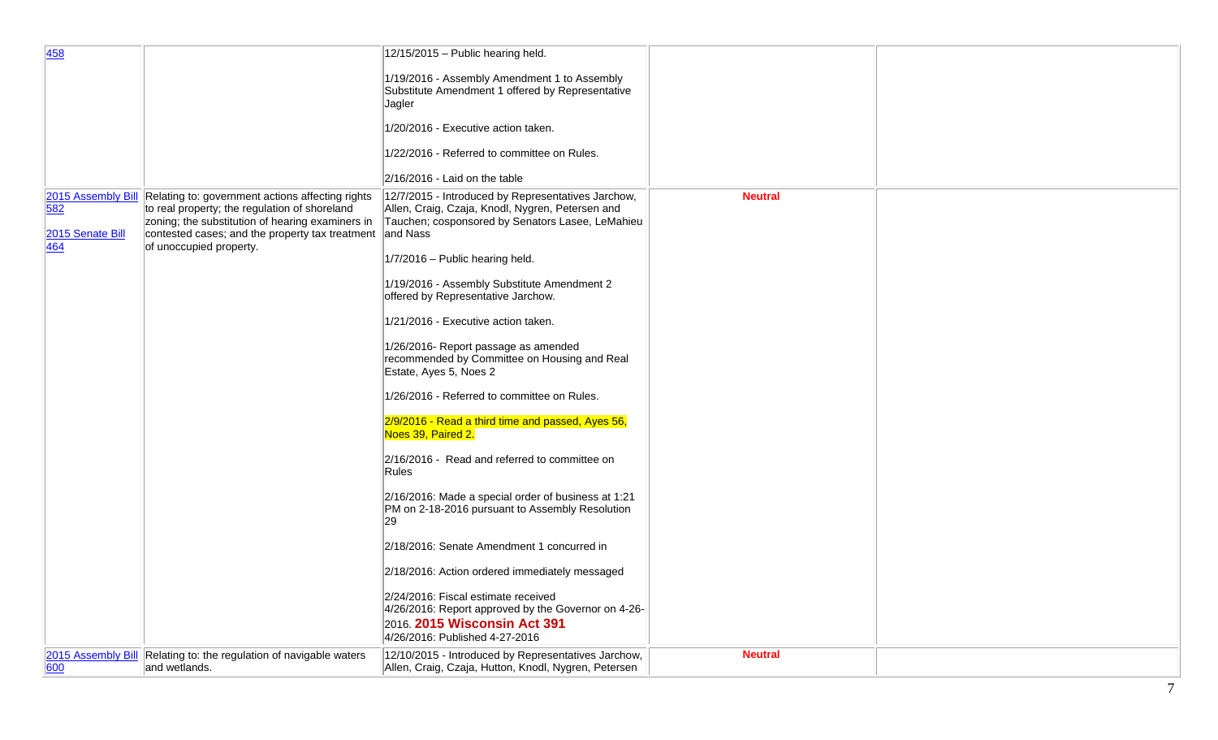| 458                            |                                                                                                                                                                                                                                                        | $12/15/2015$ – Public hearing held.                                                                                                                                                                                                                                                                                                                                                                                                                                                                                                                                                                                                                                                                                                                                                                       |                |  |
|--------------------------------|--------------------------------------------------------------------------------------------------------------------------------------------------------------------------------------------------------------------------------------------------------|-----------------------------------------------------------------------------------------------------------------------------------------------------------------------------------------------------------------------------------------------------------------------------------------------------------------------------------------------------------------------------------------------------------------------------------------------------------------------------------------------------------------------------------------------------------------------------------------------------------------------------------------------------------------------------------------------------------------------------------------------------------------------------------------------------------|----------------|--|
|                                |                                                                                                                                                                                                                                                        | 1/19/2016 - Assembly Amendment 1 to Assembly<br>Substitute Amendment 1 offered by Representative<br>Jagler                                                                                                                                                                                                                                                                                                                                                                                                                                                                                                                                                                                                                                                                                                |                |  |
|                                |                                                                                                                                                                                                                                                        | 1/20/2016 - Executive action taken.                                                                                                                                                                                                                                                                                                                                                                                                                                                                                                                                                                                                                                                                                                                                                                       |                |  |
|                                |                                                                                                                                                                                                                                                        | 1/22/2016 - Referred to committee on Rules.                                                                                                                                                                                                                                                                                                                                                                                                                                                                                                                                                                                                                                                                                                                                                               |                |  |
|                                |                                                                                                                                                                                                                                                        | $ 2/16/2016 -$ Laid on the table                                                                                                                                                                                                                                                                                                                                                                                                                                                                                                                                                                                                                                                                                                                                                                          |                |  |
| 582<br>2015 Senate Bill<br>464 | 2015 Assembly Bill Relating to: government actions affecting rights<br>to real property; the regulation of shoreland<br>zoning; the substitution of hearing examiners in<br>contested cases; and the property tax treatment<br>of unoccupied property. | 12/7/2015 - Introduced by Representatives Jarchow,<br>Allen, Craig, Czaja, Knodl, Nygren, Petersen and<br>Tauchen; cosponsored by Senators Lasee, LeMahieu<br>and Nass<br>1/7/2016 - Public hearing held.<br>1/19/2016 - Assembly Substitute Amendment 2<br>offered by Representative Jarchow.<br>1/21/2016 - Executive action taken.<br>1/26/2016- Report passage as amended<br>recommended by Committee on Housing and Real<br>Estate, Ayes 5, Noes 2<br>1/26/2016 - Referred to committee on Rules.<br>2/9/2016 - Read a third time and passed, Ayes 56,<br>Noes 39, Paired 2.<br>2/16/2016 - Read and referred to committee on<br>Rules<br>2/16/2016: Made a special order of business at 1:21<br>PM on 2-18-2016 pursuant to Assembly Resolution<br>29<br>2/18/2016: Senate Amendment 1 concurred in | <b>Neutral</b> |  |
|                                |                                                                                                                                                                                                                                                        | 2/18/2016: Action ordered immediately messaged                                                                                                                                                                                                                                                                                                                                                                                                                                                                                                                                                                                                                                                                                                                                                            |                |  |
|                                |                                                                                                                                                                                                                                                        | 2/24/2016: Fiscal estimate received<br>4/26/2016: Report approved by the Governor on 4-26-<br>2016. 2015 Wisconsin Act 391<br>4/26/2016: Published 4-27-2016                                                                                                                                                                                                                                                                                                                                                                                                                                                                                                                                                                                                                                              |                |  |
| 600                            | 2015 Assembly Bill Relating to: the regulation of navigable waters<br>and wetlands.                                                                                                                                                                    | 12/10/2015 - Introduced by Representatives Jarchow,<br>Allen, Craig, Czaja, Hutton, Knodl, Nygren, Petersen                                                                                                                                                                                                                                                                                                                                                                                                                                                                                                                                                                                                                                                                                               | <b>Neutral</b> |  |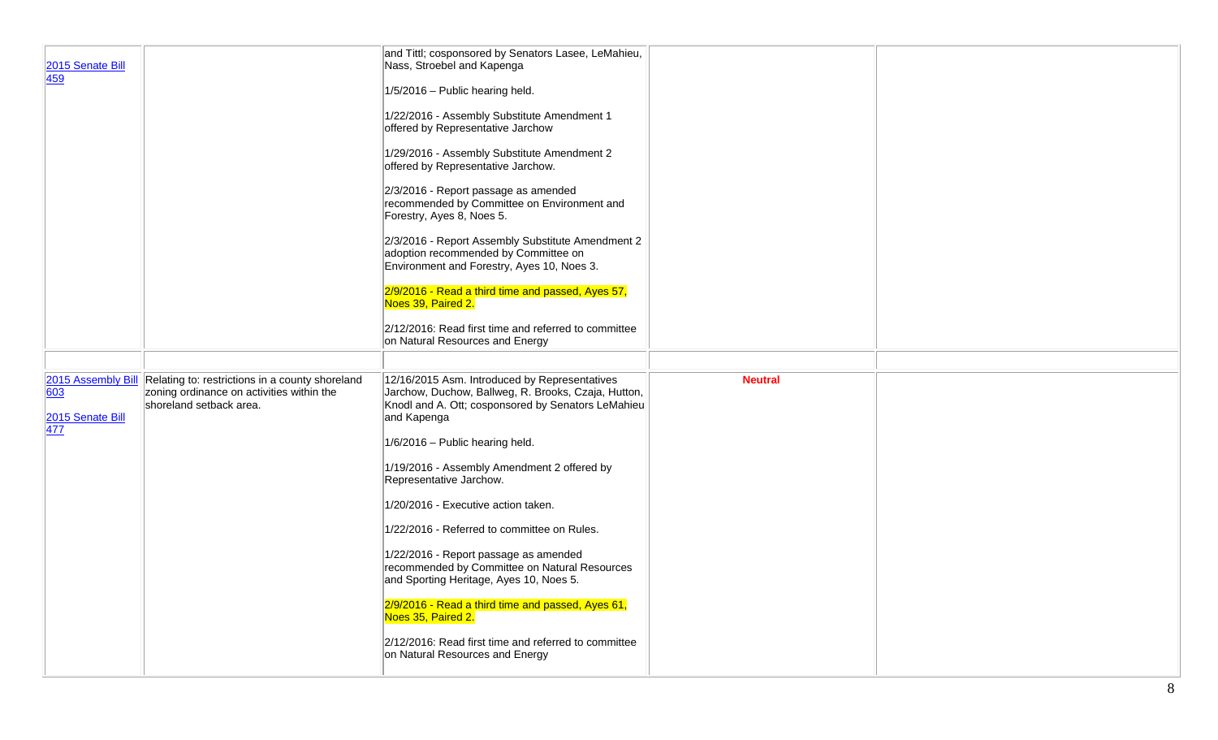| 2015 Senate Bill<br>459        |                                                                                                                                            | and Tittl; cosponsored by Senators Lasee, LeMahieu,<br>Nass, Stroebel and Kapenga<br>1/5/2016 - Public hearing held.<br>1/22/2016 - Assembly Substitute Amendment 1<br>offered by Representative Jarchow<br>1/29/2016 - Assembly Substitute Amendment 2<br>offered by Representative Jarchow.<br>2/3/2016 - Report passage as amended<br>recommended by Committee on Environment and<br>Forestry, Ayes 8, Noes 5.<br>2/3/2016 - Report Assembly Substitute Amendment 2<br>adoption recommended by Committee on<br>Environment and Forestry, Ayes 10, Noes 3.<br>2/9/2016 - Read a third time and passed, Ayes 57,<br>Noes 39, Paired 2.<br>2/12/2016: Read first time and referred to committee<br>on Natural Resources and Energy |                |  |
|--------------------------------|--------------------------------------------------------------------------------------------------------------------------------------------|------------------------------------------------------------------------------------------------------------------------------------------------------------------------------------------------------------------------------------------------------------------------------------------------------------------------------------------------------------------------------------------------------------------------------------------------------------------------------------------------------------------------------------------------------------------------------------------------------------------------------------------------------------------------------------------------------------------------------------|----------------|--|
| 603<br>2015 Senate Bill<br>477 | 2015 Assembly Bill Relating to: restrictions in a county shoreland<br>zoning ordinance on activities within the<br>shoreland setback area. | 12/16/2015 Asm. Introduced by Representatives<br>Jarchow, Duchow, Ballweg, R. Brooks, Czaja, Hutton,<br>Knodl and A. Ott; cosponsored by Senators LeMahieu<br>and Kapenga<br>1/6/2016 - Public hearing held.<br>1/19/2016 - Assembly Amendment 2 offered by<br>Representative Jarchow.<br>1/20/2016 - Executive action taken.<br>1/22/2016 - Referred to committee on Rules.<br>1/22/2016 - Report passage as amended<br>recommended by Committee on Natural Resources<br>and Sporting Heritage, Ayes 10, Noes 5.<br>2/9/2016 - Read a third time and passed, Ayes 61,<br>Noes 35, Paired 2.<br>2/12/2016: Read first time and referred to committee<br>on Natural Resources and Energy                                            | <b>Neutral</b> |  |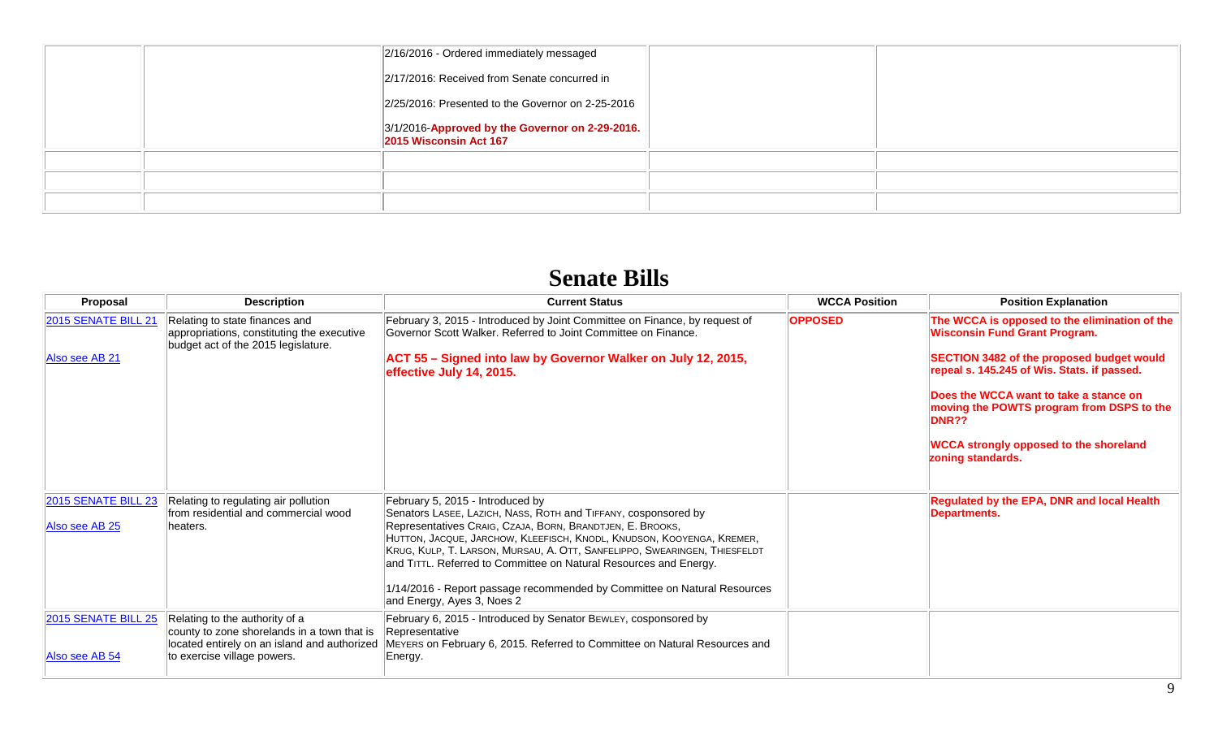|  | 2/16/2016 - Ordered immediately messaged                                  |  |
|--|---------------------------------------------------------------------------|--|
|  | 2/17/2016: Received from Senate concurred in                              |  |
|  | 2/25/2016: Presented to the Governor on 2-25-2016                         |  |
|  | 3/1/2016-Approved by the Governor on 2-29-2016.<br>2015 Wisconsin Act 167 |  |
|  |                                                                           |  |
|  |                                                                           |  |
|  |                                                                           |  |

## **Senate Bills**

| <b>Proposal</b>                       | <b>Description</b>                                                                                                                                           | <b>Current Status</b>                                                                                                                                                                                                                                                                                                                                                                                                                                                                                | <b>WCCA Position</b> | <b>Position Explanation</b>                                                                                                                                                                                                                                                                                                                                    |
|---------------------------------------|--------------------------------------------------------------------------------------------------------------------------------------------------------------|------------------------------------------------------------------------------------------------------------------------------------------------------------------------------------------------------------------------------------------------------------------------------------------------------------------------------------------------------------------------------------------------------------------------------------------------------------------------------------------------------|----------------------|----------------------------------------------------------------------------------------------------------------------------------------------------------------------------------------------------------------------------------------------------------------------------------------------------------------------------------------------------------------|
| 2015 SENATE BILL 21<br>Also see AB 21 | Relating to state finances and<br>appropriations, constituting the executive<br>budget act of the 2015 legislature.                                          | February 3, 2015 - Introduced by Joint Committee on Finance, by request of<br>Governor Scott Walker. Referred to Joint Committee on Finance.<br>ACT 55 - Signed into law by Governor Walker on July 12, 2015,<br>effective July 14, 2015.                                                                                                                                                                                                                                                            | <b>OPPOSED</b>       | The WCCA is opposed to the elimination of the<br><b>Wisconsin Fund Grant Program.</b><br><b>SECTION 3482 of the proposed budget would</b><br>repeal s. 145.245 of Wis. Stats. if passed.<br>Does the WCCA want to take a stance on<br>moving the POWTS program from DSPS to the<br>DNR??<br><b>WCCA strongly opposed to the shoreland</b><br>zoning standards. |
| 2015 SENATE BILL 23<br>Also see AB 25 | Relating to regulating air pollution<br>from residential and commercial wood<br>heaters.                                                                     | February 5, 2015 - Introduced by<br>Senators LASEE, LAZICH, NASS, ROTH and TIFFANY, cosponsored by<br>Representatives CRAIG, CZAJA, BORN, BRANDTJEN, E. BROOKS,<br>HUTTON, JACQUE, JARCHOW, KLEEFISCH, KNODL, KNUDSON, KOOYENGA, KREMER,<br>KRUG, KULP, T. LARSON, MURSAU, A. OTT, SANFELIPPO, SWEARINGEN, THIESFELDT<br>and TITTL. Referred to Committee on Natural Resources and Energy.<br>1/14/2016 - Report passage recommended by Committee on Natural Resources<br>and Energy, Ayes 3, Noes 2 |                      | Regulated by the EPA, DNR and local Health<br><b>Departments.</b>                                                                                                                                                                                                                                                                                              |
| 2015 SENATE BILL 25<br>Also see AB 54 | Relating to the authority of a<br>county to zone shorelands in a town that is<br>located entirely on an island and authorized<br>to exercise village powers. | February 6, 2015 - Introduced by Senator BEWLEY, cosponsored by<br>Representative<br>MEYERS on February 6, 2015. Referred to Committee on Natural Resources and<br>∣Energy.                                                                                                                                                                                                                                                                                                                          |                      |                                                                                                                                                                                                                                                                                                                                                                |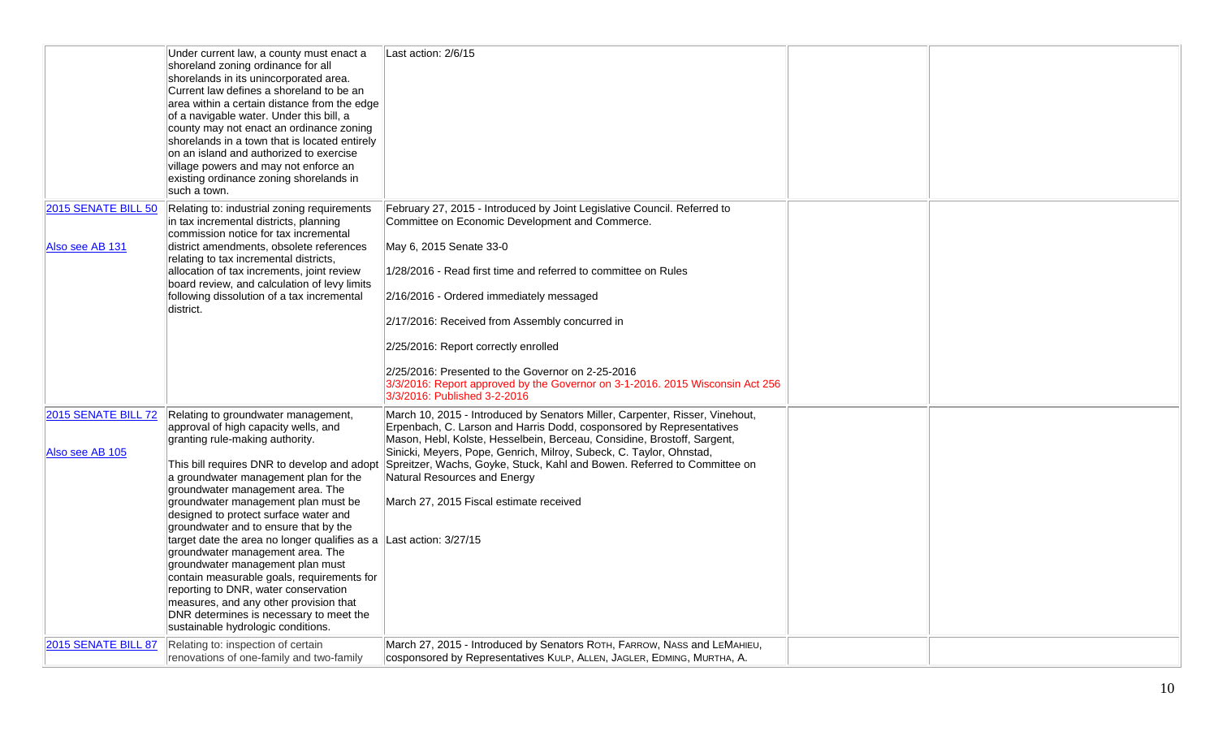| Under current law, a county must enact a<br>shoreland zoning ordinance for all<br>shorelands in its unincorporated area.<br>Current law defines a shoreland to be an<br>area within a certain distance from the edge<br>of a navigable water. Under this bill, a<br>county may not enact an ordinance zoning<br>shorelands in a town that is located entirely<br>on an island and authorized to exercise<br>village powers and may not enforce an<br>existing ordinance zoning shorelands in<br>such a town.                                                                                                                                                                                                                                                                 | Last action: 2/6/15                                                                                                                                                                                                                                                                                                                                                                                                                                                                                                                  |  |
|------------------------------------------------------------------------------------------------------------------------------------------------------------------------------------------------------------------------------------------------------------------------------------------------------------------------------------------------------------------------------------------------------------------------------------------------------------------------------------------------------------------------------------------------------------------------------------------------------------------------------------------------------------------------------------------------------------------------------------------------------------------------------|--------------------------------------------------------------------------------------------------------------------------------------------------------------------------------------------------------------------------------------------------------------------------------------------------------------------------------------------------------------------------------------------------------------------------------------------------------------------------------------------------------------------------------------|--|
| 2015 SENATE BILL 50<br>Relating to: industrial zoning requirements<br>in tax incremental districts, planning<br>commission notice for tax incremental<br>Also see AB 131<br>district amendments, obsolete references<br>relating to tax incremental districts,<br>allocation of tax increments, joint review<br>board review, and calculation of levy limits<br>following dissolution of a tax incremental<br>district.                                                                                                                                                                                                                                                                                                                                                      | February 27, 2015 - Introduced by Joint Legislative Council. Referred to<br>Committee on Economic Development and Commerce.<br>May 6, 2015 Senate 33-0<br>1/28/2016 - Read first time and referred to committee on Rules<br>2/16/2016 - Ordered immediately messaged<br>2/17/2016: Received from Assembly concurred in<br>2/25/2016: Report correctly enrolled<br>2/25/2016: Presented to the Governor on 2-25-2016<br>3/3/2016: Report approved by the Governor on 3-1-2016. 2015 Wisconsin Act 256<br>3/3/2016: Published 3-2-2016 |  |
| 2015 SENATE BILL 72<br>Relating to groundwater management,<br>approval of high capacity wells, and<br>granting rule-making authority.<br>Also see AB 105<br>This bill requires DNR to develop and adopt<br>a groundwater management plan for the<br>groundwater management area. The<br>groundwater management plan must be<br>designed to protect surface water and<br>groundwater and to ensure that by the<br>target date the area no longer qualifies as a Last action: 3/27/15<br>groundwater management area. The<br>groundwater management plan must<br>contain measurable goals, requirements for<br>reporting to DNR, water conservation<br>measures, and any other provision that<br>DNR determines is necessary to meet the<br>sustainable hydrologic conditions. | March 10, 2015 - Introduced by Senators Miller, Carpenter, Risser, Vinehout,<br>Erpenbach, C. Larson and Harris Dodd, cosponsored by Representatives<br>Mason, Hebl, Kolste, Hesselbein, Berceau, Considine, Brostoff, Sargent,<br>Sinicki, Meyers, Pope, Genrich, Milroy, Subeck, C. Taylor, Ohnstad,<br>Spreitzer, Wachs, Goyke, Stuck, Kahl and Bowen. Referred to Committee on<br>Natural Resources and Energy<br>March 27, 2015 Fiscal estimate received                                                                        |  |
| 2015 SENATE BILL 87<br>Relating to: inspection of certain<br>renovations of one-family and two-family                                                                                                                                                                                                                                                                                                                                                                                                                                                                                                                                                                                                                                                                        | March 27, 2015 - Introduced by Senators ROTH, FARROW, NASS and LEMAHIEU,<br>cosponsored by Representatives KULP, ALLEN, JAGLER, EDMING, MURTHA, A.                                                                                                                                                                                                                                                                                                                                                                                   |  |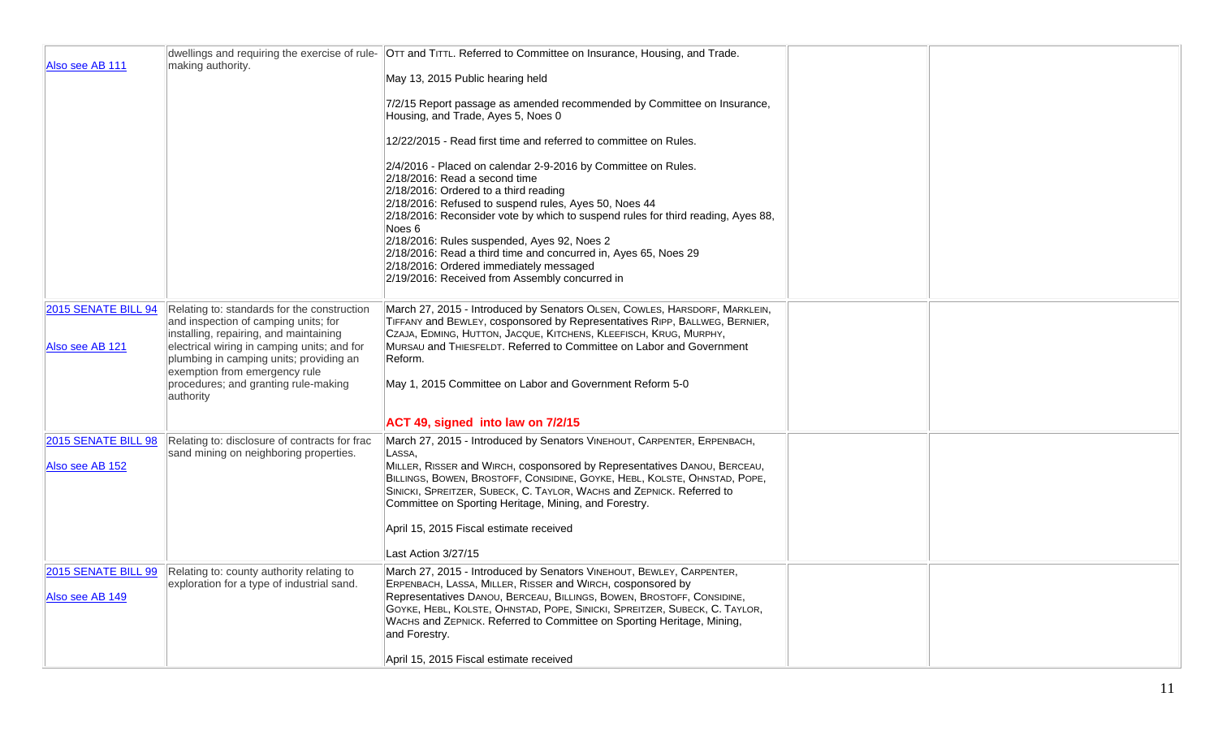| Also see AB 111                        | making authority.                                                                                                                                                        | dwellings and requiring the exercise of rule- OTT and TITTL. Referred to Committee on Insurance, Housing, and Trade.                                                                                                                                                                                                                                                                                                                                                                                             |  |
|----------------------------------------|--------------------------------------------------------------------------------------------------------------------------------------------------------------------------|------------------------------------------------------------------------------------------------------------------------------------------------------------------------------------------------------------------------------------------------------------------------------------------------------------------------------------------------------------------------------------------------------------------------------------------------------------------------------------------------------------------|--|
|                                        |                                                                                                                                                                          | May 13, 2015 Public hearing held                                                                                                                                                                                                                                                                                                                                                                                                                                                                                 |  |
|                                        |                                                                                                                                                                          | 7/2/15 Report passage as amended recommended by Committee on Insurance,<br>Housing, and Trade, Ayes 5, Noes 0                                                                                                                                                                                                                                                                                                                                                                                                    |  |
|                                        |                                                                                                                                                                          | 12/22/2015 - Read first time and referred to committee on Rules.                                                                                                                                                                                                                                                                                                                                                                                                                                                 |  |
|                                        |                                                                                                                                                                          | 2/4/2016 - Placed on calendar 2-9-2016 by Committee on Rules.<br>2/18/2016: Read a second time<br>$2/18/2016$ : Ordered to a third reading<br>2/18/2016: Refused to suspend rules, Ayes 50, Noes 44<br>2/18/2016: Reconsider vote by which to suspend rules for third reading, Ayes 88,<br>Noes 6<br>2/18/2016: Rules suspended, Ayes 92, Noes 2<br>2/18/2016: Read a third time and concurred in, Ayes 65, Noes 29<br>2/18/2016: Ordered immediately messaged<br>2/19/2016: Received from Assembly concurred in |  |
| 2015 SENATE BILL 94                    | Relating to: standards for the construction                                                                                                                              | March 27, 2015 - Introduced by Senators OLSEN, COWLES, HARSDORF, MARKLEIN,                                                                                                                                                                                                                                                                                                                                                                                                                                       |  |
| Also see AB 121                        | and inspection of camping units; for<br>installing, repairing, and maintaining<br>electrical wiring in camping units; and for<br>plumbing in camping units; providing an | TIFFANY and BEWLEY, cosponsored by Representatives RIPP, BALLWEG, BERNIER,<br>CZAJA, EDMING, HUTTON, JACQUE, KITCHENS, KLEEFISCH, KRUG, MURPHY,<br>MURSAU and THIESFELDT. Referred to Committee on Labor and Government<br>Reform.                                                                                                                                                                                                                                                                               |  |
|                                        | exemption from emergency rule<br>procedures; and granting rule-making<br>authority                                                                                       | May 1, 2015 Committee on Labor and Government Reform 5-0                                                                                                                                                                                                                                                                                                                                                                                                                                                         |  |
|                                        |                                                                                                                                                                          | ACT 49, signed into law on 7/2/15                                                                                                                                                                                                                                                                                                                                                                                                                                                                                |  |
| 2015 SENATE BILL 98<br>Also see AB 152 | Relating to: disclosure of contracts for frac<br>sand mining on neighboring properties.                                                                                  | March 27, 2015 - Introduced by Senators VINEHOUT, CARPENTER, ERPENBACH,<br>LASSA,<br>MILLER, RISSER and WIRCH, cosponsored by Representatives DANOU, BERCEAU,<br>BILLINGS, BOWEN, BROSTOFF, CONSIDINE, GOYKE, HEBL, KOLSTE, OHNSTAD, POPE,<br>SINICKI, SPREITZER, SUBECK, C. TAYLOR, WACHS and ZEPNICK. Referred to                                                                                                                                                                                              |  |
|                                        |                                                                                                                                                                          | Committee on Sporting Heritage, Mining, and Forestry.                                                                                                                                                                                                                                                                                                                                                                                                                                                            |  |
|                                        |                                                                                                                                                                          | April 15, 2015 Fiscal estimate received                                                                                                                                                                                                                                                                                                                                                                                                                                                                          |  |
|                                        |                                                                                                                                                                          | Last Action 3/27/15                                                                                                                                                                                                                                                                                                                                                                                                                                                                                              |  |
| 2015 SENATE BILL 99<br>Also see AB 149 | Relating to: county authority relating to<br>exploration for a type of industrial sand.                                                                                  | March 27, 2015 - Introduced by Senators VINEHOUT, BEWLEY, CARPENTER,<br>ERPENBACH, LASSA, MILLER, RISSER and WIRCH, cosponsored by<br>Representatives DANOU, BERCEAU, BILLINGS, BOWEN, BROSTOFF, CONSIDINE,                                                                                                                                                                                                                                                                                                      |  |
|                                        |                                                                                                                                                                          | GOYKE, HEBL, KOLSTE, OHNSTAD, POPE, SINICKI, SPREITZER, SUBECK, C. TAYLOR,<br>WACHS and ZEPNICK. Referred to Committee on Sporting Heritage, Mining,<br>and Forestry.                                                                                                                                                                                                                                                                                                                                            |  |
|                                        |                                                                                                                                                                          | April 15, 2015 Fiscal estimate received                                                                                                                                                                                                                                                                                                                                                                                                                                                                          |  |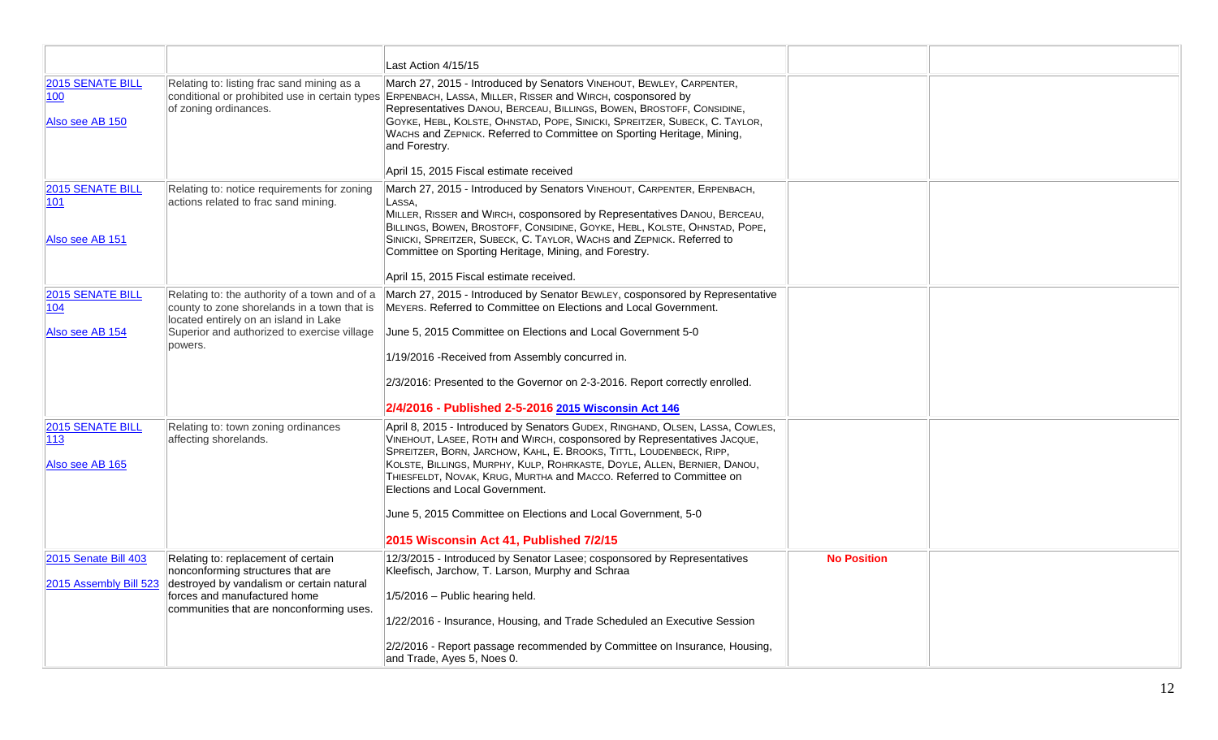|                                             |                                                                                                                       | Last Action 4/15/15                                                                                                                                                                                                                                                                                                                                                                                                                                                                                                               |                    |  |
|---------------------------------------------|-----------------------------------------------------------------------------------------------------------------------|-----------------------------------------------------------------------------------------------------------------------------------------------------------------------------------------------------------------------------------------------------------------------------------------------------------------------------------------------------------------------------------------------------------------------------------------------------------------------------------------------------------------------------------|--------------------|--|
| 2015 SENATE BILL<br> 100<br>Also see AB 150 | Relating to: listing frac sand mining as a<br>conditional or prohibited use in certain types<br>of zoning ordinances. | March 27, 2015 - Introduced by Senators VINEHOUT, BEWLEY, CARPENTER,<br>ERPENBACH, LASSA, MILLER, RISSER and WIRCH, cosponsored by<br>Representatives DANOU, BERCEAU, BILLINGS, BOWEN, BROSTOFF, CONSIDINE,<br>GOYKE, HEBL, KOLSTE, OHNSTAD, POPE, SINICKI, SPREITZER, SUBECK, C. TAYLOR,<br>WACHS and ZEPNICK. Referred to Committee on Sporting Heritage, Mining,<br>and Forestry.<br>April 15, 2015 Fiscal estimate received                                                                                                   |                    |  |
| 2015 SENATE BILL<br> 101<br>Also see AB 151 | Relating to: notice requirements for zoning<br>actions related to frac sand mining.                                   | March 27, 2015 - Introduced by Senators VINEHOUT, CARPENTER, ERPENBACH,<br>LASSA,<br>MILLER, RISSER and WIRCH, cosponsored by Representatives DANOU, BERCEAU,<br>BILLINGS, BOWEN, BROSTOFF, CONSIDINE, GOYKE, HEBL, KOLSTE, OHNSTAD, POPE,<br>SINICKI, SPREITZER, SUBECK, C. TAYLOR, WACHS and ZEPNICK. Referred to<br>Committee on Sporting Heritage, Mining, and Forestry.<br>April 15, 2015 Fiscal estimate received.                                                                                                          |                    |  |
| 2015 SENATE BILL                            | Relating to: the authority of a town and of a                                                                         | March 27, 2015 - Introduced by Senator BEWLEY, cosponsored by Representative                                                                                                                                                                                                                                                                                                                                                                                                                                                      |                    |  |
| 104                                         | county to zone shorelands in a town that is<br>located entirely on an island in Lake                                  | MEYERS. Referred to Committee on Elections and Local Government.                                                                                                                                                                                                                                                                                                                                                                                                                                                                  |                    |  |
| Also see AB 154                             | Superior and authorized to exercise village<br>powers.                                                                | June 5, 2015 Committee on Elections and Local Government 5-0<br>1/19/2016 - Received from Assembly concurred in.                                                                                                                                                                                                                                                                                                                                                                                                                  |                    |  |
|                                             |                                                                                                                       | 2/3/2016: Presented to the Governor on 2-3-2016. Report correctly enrolled.<br>2/4/2016 - Published 2-5-2016 2015 Wisconsin Act 146                                                                                                                                                                                                                                                                                                                                                                                               |                    |  |
| 2015 SENATE BILL<br> 113<br>Also see AB 165 | Relating to: town zoning ordinances<br>affecting shorelands.                                                          | April 8, 2015 - Introduced by Senators GUDEX, RINGHAND, OLSEN, LASSA, COWLES,<br>VINEHOUT, LASEE, ROTH and WIRCH, cosponsored by Representatives JACQUE,<br>SPREITZER, BORN, JARCHOW, KAHL, E. BROOKS, TITTL, LOUDENBECK, RIPP,<br>KOLSTE, BILLINGS, MURPHY, KULP, ROHRKASTE, DOYLE, ALLEN, BERNIER, DANOU,<br>THIESFELDT, NOVAK, KRUG, MURTHA and MACCO. Referred to Committee on<br>Elections and Local Government.<br>June 5, 2015 Committee on Elections and Local Government, 5-0<br>2015 Wisconsin Act 41, Published 7/2/15 |                    |  |
| 2015 Senate Bill 403                        | Relating to: replacement of certain                                                                                   | 12/3/2015 - Introduced by Senator Lasee; cosponsored by Representatives                                                                                                                                                                                                                                                                                                                                                                                                                                                           | <b>No Position</b> |  |
| 2015 Assembly Bill 523                      | nonconforming structures that are<br>destroyed by vandalism or certain natural                                        | Kleefisch, Jarchow, T. Larson, Murphy and Schraa                                                                                                                                                                                                                                                                                                                                                                                                                                                                                  |                    |  |
|                                             | forces and manufactured home<br>communities that are nonconforming uses.                                              | 1/5/2016 - Public hearing held.                                                                                                                                                                                                                                                                                                                                                                                                                                                                                                   |                    |  |
|                                             |                                                                                                                       | 1/22/2016 - Insurance, Housing, and Trade Scheduled an Executive Session                                                                                                                                                                                                                                                                                                                                                                                                                                                          |                    |  |
|                                             |                                                                                                                       | 2/2/2016 - Report passage recommended by Committee on Insurance, Housing,<br>and Trade, Ayes 5, Noes 0.                                                                                                                                                                                                                                                                                                                                                                                                                           |                    |  |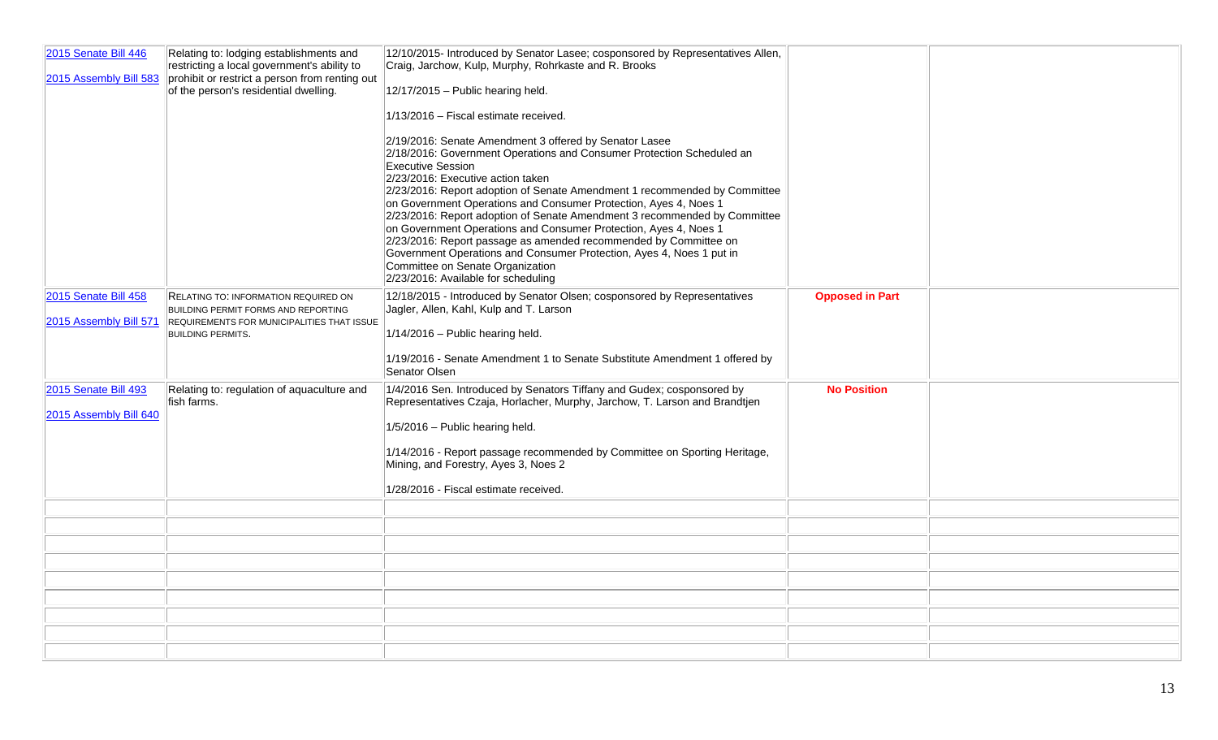| 2015 Senate Bill 446<br>2015 Assembly Bill 583 | Relating to: lodging establishments and<br>restricting a local government's ability to<br>prohibit or restrict a person from renting out<br>of the person's residential dwelling. | 12/10/2015- Introduced by Senator Lasee; cosponsored by Representatives Allen,<br>Craig, Jarchow, Kulp, Murphy, Rohrkaste and R. Brooks<br>12/17/2015 - Public hearing held.<br>1/13/2016 - Fiscal estimate received.<br>2/19/2016: Senate Amendment 3 offered by Senator Lasee<br>2/18/2016: Government Operations and Consumer Protection Scheduled an<br>Executive Session<br>2/23/2016: Executive action taken<br>2/23/2016: Report adoption of Senate Amendment 1 recommended by Committee<br>on Government Operations and Consumer Protection, Ayes 4, Noes 1<br>2/23/2016: Report adoption of Senate Amendment 3 recommended by Committee<br>on Government Operations and Consumer Protection, Ayes 4, Noes 1<br>2/23/2016: Report passage as amended recommended by Committee on<br>Government Operations and Consumer Protection, Ayes 4, Noes 1 put in<br>Committee on Senate Organization<br>2/23/2016: Available for scheduling |                        |  |
|------------------------------------------------|-----------------------------------------------------------------------------------------------------------------------------------------------------------------------------------|---------------------------------------------------------------------------------------------------------------------------------------------------------------------------------------------------------------------------------------------------------------------------------------------------------------------------------------------------------------------------------------------------------------------------------------------------------------------------------------------------------------------------------------------------------------------------------------------------------------------------------------------------------------------------------------------------------------------------------------------------------------------------------------------------------------------------------------------------------------------------------------------------------------------------------------------|------------------------|--|
| 2015 Senate Bill 458                           | <b>RELATING TO: INFORMATION REQUIRED ON</b><br>BUILDING PERMIT FORMS AND REPORTING                                                                                                | 12/18/2015 - Introduced by Senator Olsen; cosponsored by Representatives<br>Jagler, Allen, Kahl, Kulp and T. Larson                                                                                                                                                                                                                                                                                                                                                                                                                                                                                                                                                                                                                                                                                                                                                                                                                         | <b>Opposed in Part</b> |  |
| 2015 Assembly Bill 571                         | <b>REQUIREMENTS FOR MUNICIPALITIES THAT ISSUE</b><br><b>BUILDING PERMITS.</b>                                                                                                     | 1/14/2016 - Public hearing held.                                                                                                                                                                                                                                                                                                                                                                                                                                                                                                                                                                                                                                                                                                                                                                                                                                                                                                            |                        |  |
|                                                |                                                                                                                                                                                   | 1/19/2016 - Senate Amendment 1 to Senate Substitute Amendment 1 offered by<br>Senator Olsen                                                                                                                                                                                                                                                                                                                                                                                                                                                                                                                                                                                                                                                                                                                                                                                                                                                 |                        |  |
| 2015 Senate Bill 493                           | Relating to: regulation of aquaculture and<br>fish farms.                                                                                                                         | 1/4/2016 Sen. Introduced by Senators Tiffany and Gudex; cosponsored by<br>Representatives Czaja, Horlacher, Murphy, Jarchow, T. Larson and Brandtjen                                                                                                                                                                                                                                                                                                                                                                                                                                                                                                                                                                                                                                                                                                                                                                                        | <b>No Position</b>     |  |
| 2015 Assembly Bill 640                         |                                                                                                                                                                                   | 1/5/2016 - Public hearing held.                                                                                                                                                                                                                                                                                                                                                                                                                                                                                                                                                                                                                                                                                                                                                                                                                                                                                                             |                        |  |
|                                                |                                                                                                                                                                                   | 1/14/2016 - Report passage recommended by Committee on Sporting Heritage,<br>Mining, and Forestry, Ayes 3, Noes 2                                                                                                                                                                                                                                                                                                                                                                                                                                                                                                                                                                                                                                                                                                                                                                                                                           |                        |  |
|                                                |                                                                                                                                                                                   | 1/28/2016 - Fiscal estimate received.                                                                                                                                                                                                                                                                                                                                                                                                                                                                                                                                                                                                                                                                                                                                                                                                                                                                                                       |                        |  |
|                                                |                                                                                                                                                                                   |                                                                                                                                                                                                                                                                                                                                                                                                                                                                                                                                                                                                                                                                                                                                                                                                                                                                                                                                             |                        |  |
|                                                |                                                                                                                                                                                   |                                                                                                                                                                                                                                                                                                                                                                                                                                                                                                                                                                                                                                                                                                                                                                                                                                                                                                                                             |                        |  |
|                                                |                                                                                                                                                                                   |                                                                                                                                                                                                                                                                                                                                                                                                                                                                                                                                                                                                                                                                                                                                                                                                                                                                                                                                             |                        |  |
|                                                |                                                                                                                                                                                   |                                                                                                                                                                                                                                                                                                                                                                                                                                                                                                                                                                                                                                                                                                                                                                                                                                                                                                                                             |                        |  |
|                                                |                                                                                                                                                                                   |                                                                                                                                                                                                                                                                                                                                                                                                                                                                                                                                                                                                                                                                                                                                                                                                                                                                                                                                             |                        |  |
|                                                |                                                                                                                                                                                   |                                                                                                                                                                                                                                                                                                                                                                                                                                                                                                                                                                                                                                                                                                                                                                                                                                                                                                                                             |                        |  |
|                                                |                                                                                                                                                                                   |                                                                                                                                                                                                                                                                                                                                                                                                                                                                                                                                                                                                                                                                                                                                                                                                                                                                                                                                             |                        |  |
|                                                |                                                                                                                                                                                   |                                                                                                                                                                                                                                                                                                                                                                                                                                                                                                                                                                                                                                                                                                                                                                                                                                                                                                                                             |                        |  |
|                                                |                                                                                                                                                                                   |                                                                                                                                                                                                                                                                                                                                                                                                                                                                                                                                                                                                                                                                                                                                                                                                                                                                                                                                             |                        |  |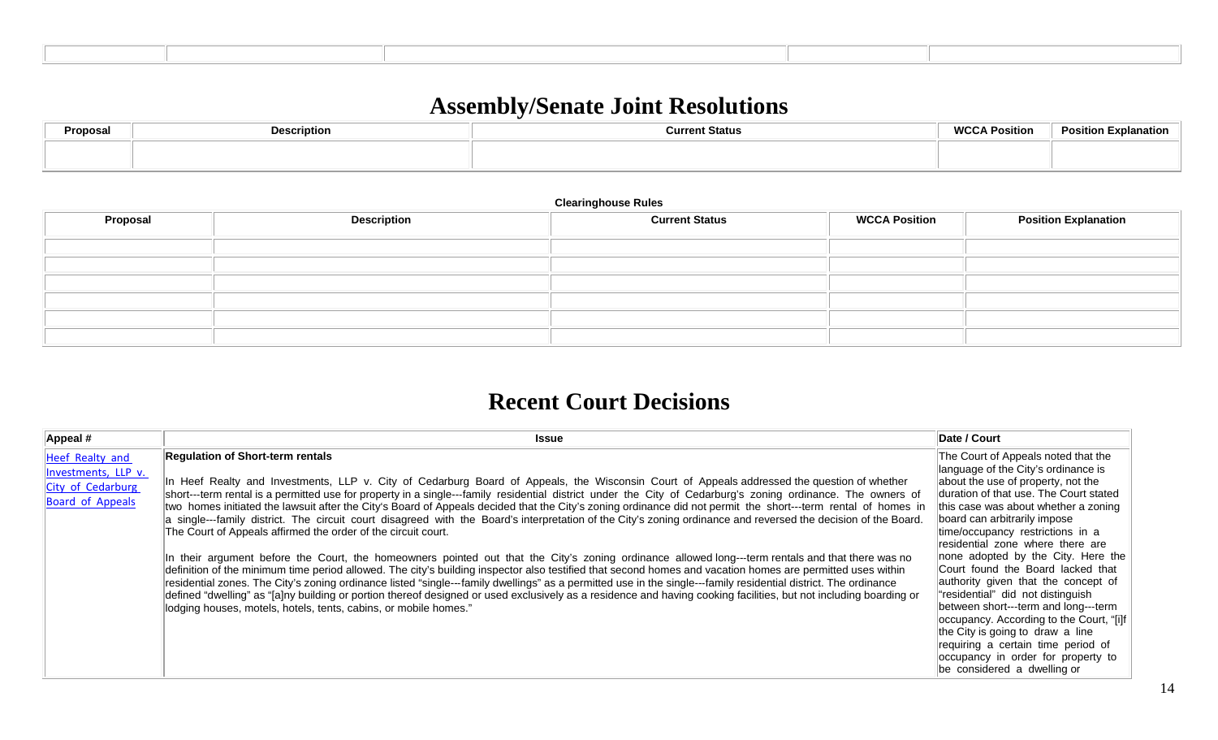## **Assembly/Senate Joint Resolutions**

#### **Clearinghouse Rules**

| Proposal | <b>Description</b> | <b>Current Status</b> | <b>WCCA Position</b> | <b>Position Explanation</b> |
|----------|--------------------|-----------------------|----------------------|-----------------------------|
|          |                    |                       |                      |                             |
|          |                    |                       |                      |                             |
|          |                    |                       |                      |                             |
|          |                    |                       |                      |                             |
|          |                    |                       |                      |                             |
|          |                    |                       |                      |                             |

#### **Recent Court Decisions**

| Appeal #                                                                               | Issue                                                                                                                                                                                                                                                                                                                                                                                                                                                                                                                                                                                                                                                                                                                                                                                                                                                                                                                                                                                                                                                                                                                                                                                                                                                                                                                                                                                                                                                                                    | Date / Court                                                                                                                                                                                                                                                                                                                                                                                                                                                                                                                                                                                                                                                                                         |
|----------------------------------------------------------------------------------------|------------------------------------------------------------------------------------------------------------------------------------------------------------------------------------------------------------------------------------------------------------------------------------------------------------------------------------------------------------------------------------------------------------------------------------------------------------------------------------------------------------------------------------------------------------------------------------------------------------------------------------------------------------------------------------------------------------------------------------------------------------------------------------------------------------------------------------------------------------------------------------------------------------------------------------------------------------------------------------------------------------------------------------------------------------------------------------------------------------------------------------------------------------------------------------------------------------------------------------------------------------------------------------------------------------------------------------------------------------------------------------------------------------------------------------------------------------------------------------------|------------------------------------------------------------------------------------------------------------------------------------------------------------------------------------------------------------------------------------------------------------------------------------------------------------------------------------------------------------------------------------------------------------------------------------------------------------------------------------------------------------------------------------------------------------------------------------------------------------------------------------------------------------------------------------------------------|
| <b>Heef Realty and</b><br>Investments, LLP v.<br>City of Cedarburg<br>Board of Appeals | <b>Regulation of Short-term rentals</b><br>In Heef Realty and Investments, LLP v. City of Cedarburg Board of Appeals, the Wisconsin Court of Appeals addressed the question of whether<br>short---term rental is a permitted use for property in a single---family residential district under the City of Cedarburg's zoning ordinance. The owners of<br>two homes initiated the lawsuit after the City's Board of Appeals decided that the City's zoning ordinance did not permit the short---term rental of homes in<br>a single---family district. The circuit court disagreed with the Board's interpretation of the City's zoning ordinance and reversed the decision of the Board.<br>The Court of Appeals affirmed the order of the circuit court.<br>In their argument before the Court, the homeowners pointed out that the City's zoning ordinance allowed long---term rentals and that there was no<br>definition of the minimum time period allowed. The city's building inspector also testified that second homes and vacation homes are permitted uses within<br>residential zones. The City's zoning ordinance listed "single---family dwellings" as a permitted use in the single---family residential district. The ordinance<br>defined "dwelling" as "[a]ny building or portion thereof designed or used exclusively as a residence and having cooking facilities, but not including boarding or<br>lodging houses, motels, hotels, tents, cabins, or mobile homes." | The Court of Appeals noted that the<br>language of the City's ordinance is<br>about the use of property, not the<br>duration of that use. The Court stated<br>this case was about whether a zoning<br>board can arbitrarily impose<br>time/occupancy restrictions in a<br>residential zone where there are<br>none adopted by the City. Here the<br>Court found the Board lacked that<br>authority given that the concept of<br>"residential" did not distinguish<br>between short---term and long---term<br>occupancy. According to the Court, "[i]f<br>the City is going to draw a line<br>requiring a certain time period of<br>occupancy in order for property to<br>be considered a dwelling or |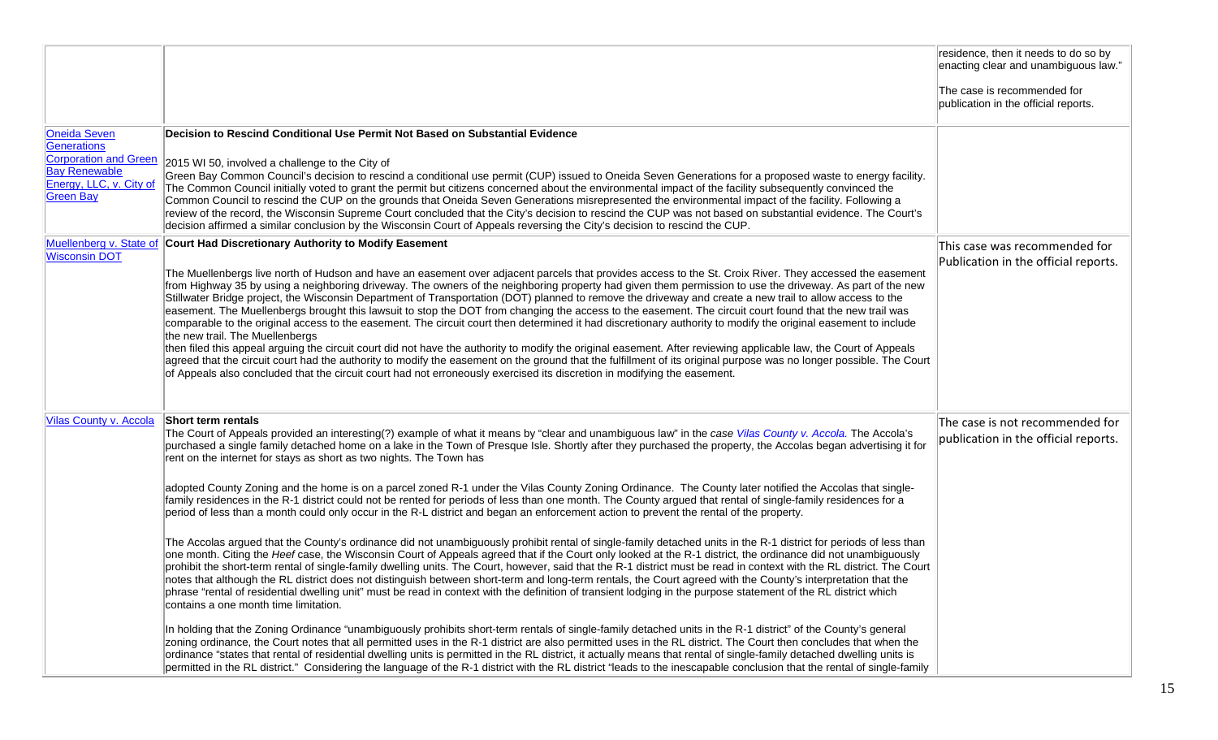|                                                 |                                                                                                                                                                                                                                                                                                                                         | residence, then it needs to do so by<br>enacting clear and unambiguous law." |
|-------------------------------------------------|-----------------------------------------------------------------------------------------------------------------------------------------------------------------------------------------------------------------------------------------------------------------------------------------------------------------------------------------|------------------------------------------------------------------------------|
|                                                 |                                                                                                                                                                                                                                                                                                                                         | The case is recommended for<br>publication in the official reports.          |
| <b>Oneida Seven</b>                             | Decision to Rescind Conditional Use Permit Not Based on Substantial Evidence                                                                                                                                                                                                                                                            |                                                                              |
| Generations<br><b>Corporation and Green</b>     |                                                                                                                                                                                                                                                                                                                                         |                                                                              |
| <b>Bay Renewable</b>                            | 2015 WI 50, involved a challenge to the City of<br>Green Bay Common Council's decision to rescind a conditional use permit (CUP) issued to Oneida Seven Generations for a proposed waste to energy facility.                                                                                                                            |                                                                              |
| Energy, LLC, v. City of<br><b>Green Bay</b>     | The Common Council initially voted to grant the permit but citizens concerned about the environmental impact of the facility subsequently convinced the                                                                                                                                                                                 |                                                                              |
|                                                 | Common Council to rescind the CUP on the grounds that Oneida Seven Generations misrepresented the environmental impact of the facility. Following a<br>review of the record, the Wisconsin Supreme Court concluded that the City's decision to rescind the CUP was not based on substantial evidence. The Court's                       |                                                                              |
|                                                 | decision affirmed a similar conclusion by the Wisconsin Court of Appeals reversing the City's decision to rescind the CUP.                                                                                                                                                                                                              |                                                                              |
| Muellenberg v. State of<br><b>Wisconsin DOT</b> | Court Had Discretionary Authority to Modify Easement                                                                                                                                                                                                                                                                                    | This case was recommended for                                                |
|                                                 | The Muellenbergs live north of Hudson and have an easement over adjacent parcels that provides access to the St. Croix River. They accessed the easement                                                                                                                                                                                | Publication in the official reports.                                         |
|                                                 | from Highway 35 by using a neighboring driveway. The owners of the neighboring property had given them permission to use the driveway. As part of the new                                                                                                                                                                               |                                                                              |
|                                                 | Stillwater Bridge project, the Wisconsin Department of Transportation (DOT) planned to remove the driveway and create a new trail to allow access to the<br>easement. The Muellenbergs brought this lawsuit to stop the DOT from changing the access to the easement. The circuit court found that the new trail was                    |                                                                              |
|                                                 | comparable to the original access to the easement. The circuit court then determined it had discretionary authority to modify the original easement to include<br>the new trail. The Muellenbergs                                                                                                                                       |                                                                              |
|                                                 | then filed this appeal arguing the circuit court did not have the authority to modify the original easement. After reviewing applicable law, the Court of Appeals                                                                                                                                                                       |                                                                              |
|                                                 | agreed that the circuit court had the authority to modify the easement on the ground that the fulfillment of its original purpose was no longer possible. The Court<br>of Appeals also concluded that the circuit court had not erroneously exercised its discretion in modifying the easement.                                         |                                                                              |
|                                                 |                                                                                                                                                                                                                                                                                                                                         |                                                                              |
|                                                 |                                                                                                                                                                                                                                                                                                                                         |                                                                              |
| <b>Vilas County v. Accola</b>                   | <b>Short term rentals</b>                                                                                                                                                                                                                                                                                                               | The case is not recommended for                                              |
|                                                 | The Court of Appeals provided an interesting(?) example of what it means by "clear and unambiguous law" in the case Vilas County v. Accola. The Accola's<br>purchased a single family detached home on a lake in the Town of Presque Isle. Shortly after they purchased the property, the Accolas began advertising it for              | publication in the official reports.                                         |
|                                                 | rent on the internet for stays as short as two nights. The Town has                                                                                                                                                                                                                                                                     |                                                                              |
|                                                 | adopted County Zoning and the home is on a parcel zoned R-1 under the Vilas County Zoning Ordinance. The County later notified the Accolas that single-                                                                                                                                                                                 |                                                                              |
|                                                 | family residences in the R-1 district could not be rented for periods of less than one month. The County argued that rental of single-family residences for a                                                                                                                                                                           |                                                                              |
|                                                 | period of less than a month could only occur in the R-L district and began an enforcement action to prevent the rental of the property.                                                                                                                                                                                                 |                                                                              |
|                                                 | The Accolas argued that the County's ordinance did not unambiguously prohibit rental of single-family detached units in the R-1 district for periods of less than                                                                                                                                                                       |                                                                              |
|                                                 | one month. Citing the Heef case, the Wisconsin Court of Appeals agreed that if the Court only looked at the R-1 district, the ordinance did not unambiguously<br>prohibit the short-term rental of single-family dwelling units. The Court, however, said that the R-1 district must be read in context with the RL district. The Court |                                                                              |
|                                                 | notes that although the RL district does not distinguish between short-term and long-term rentals, the Court agreed with the County's interpretation that the                                                                                                                                                                           |                                                                              |
|                                                 | phrase "rental of residential dwelling unit" must be read in context with the definition of transient lodging in the purpose statement of the RL district which<br>contains a one month time limitation.                                                                                                                                |                                                                              |
|                                                 |                                                                                                                                                                                                                                                                                                                                         |                                                                              |
|                                                 | In holding that the Zoning Ordinance "unambiguously prohibits short-term rentals of single-family detached units in the R-1 district" of the County's general<br>zoning ordinance, the Court notes that all permitted uses in the R-1 district are also permitted uses in the RL district. The Court then concludes that when the       |                                                                              |
|                                                 | ordinance "states that rental of residential dwelling units is permitted in the RL district, it actually means that rental of single-family detached dwelling units is                                                                                                                                                                  |                                                                              |
|                                                 | permitted in the RL district." Considering the language of the R-1 district with the RL district "leads to the inescapable conclusion that the rental of single-family                                                                                                                                                                  |                                                                              |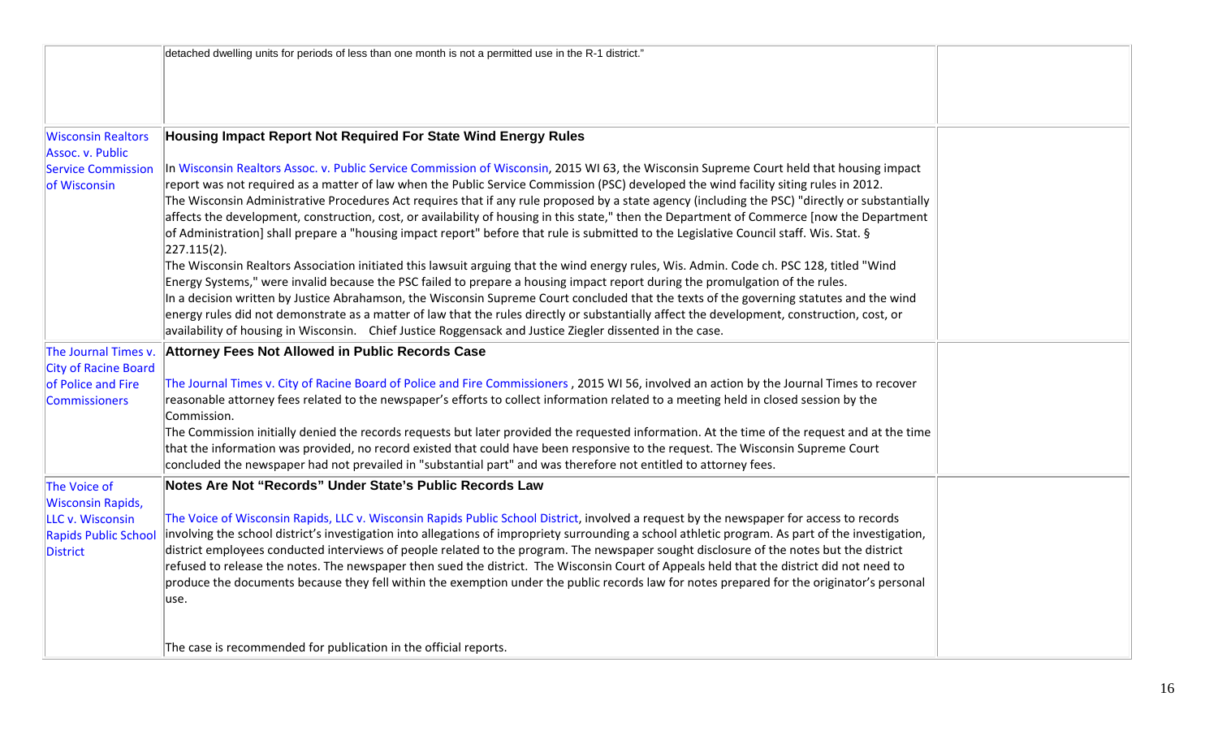|                                                                                         | detached dwelling units for periods of less than one month is not a permitted use in the R-1 district."                                                                                                                                                                                                                                                                                                                                                                                                                                                                                                                                                                                                                                                                                                                                                                                                                                                                                                                                                                                                                                                                                                                                                                                                                                                                                                                                 |  |
|-----------------------------------------------------------------------------------------|-----------------------------------------------------------------------------------------------------------------------------------------------------------------------------------------------------------------------------------------------------------------------------------------------------------------------------------------------------------------------------------------------------------------------------------------------------------------------------------------------------------------------------------------------------------------------------------------------------------------------------------------------------------------------------------------------------------------------------------------------------------------------------------------------------------------------------------------------------------------------------------------------------------------------------------------------------------------------------------------------------------------------------------------------------------------------------------------------------------------------------------------------------------------------------------------------------------------------------------------------------------------------------------------------------------------------------------------------------------------------------------------------------------------------------------------|--|
|                                                                                         |                                                                                                                                                                                                                                                                                                                                                                                                                                                                                                                                                                                                                                                                                                                                                                                                                                                                                                                                                                                                                                                                                                                                                                                                                                                                                                                                                                                                                                         |  |
| <b>Wisconsin Realtors</b><br>Assoc. v. Public                                           | Housing Impact Report Not Required For State Wind Energy Rules                                                                                                                                                                                                                                                                                                                                                                                                                                                                                                                                                                                                                                                                                                                                                                                                                                                                                                                                                                                                                                                                                                                                                                                                                                                                                                                                                                          |  |
| <b>Service Commission</b><br>of Wisconsin                                               | In Wisconsin Realtors Assoc. v. Public Service Commission of Wisconsin, 2015 WI 63, the Wisconsin Supreme Court held that housing impact<br>report was not required as a matter of law when the Public Service Commission (PSC) developed the wind facility siting rules in 2012.<br>The Wisconsin Administrative Procedures Act requires that if any rule proposed by a state agency (including the PSC) "directly or substantially<br>affects the development, construction, cost, or availability of housing in this state," then the Department of Commerce [now the Department<br>of Administration] shall prepare a "housing impact report" before that rule is submitted to the Legislative Council staff. Wis. Stat. §<br>$ 227.115(2) $ .<br>The Wisconsin Realtors Association initiated this lawsuit arguing that the wind energy rules, Wis. Admin. Code ch. PSC 128, titled "Wind<br>Energy Systems," were invalid because the PSC failed to prepare a housing impact report during the promulgation of the rules.<br>In a decision written by Justice Abrahamson, the Wisconsin Supreme Court concluded that the texts of the governing statutes and the wind<br>energy rules did not demonstrate as a matter of law that the rules directly or substantially affect the development, construction, cost, or<br>availability of housing in Wisconsin. Chief Justice Roggensack and Justice Ziegler dissented in the case. |  |
| The Journal Times v.                                                                    | <b>Attorney Fees Not Allowed in Public Records Case</b>                                                                                                                                                                                                                                                                                                                                                                                                                                                                                                                                                                                                                                                                                                                                                                                                                                                                                                                                                                                                                                                                                                                                                                                                                                                                                                                                                                                 |  |
| <b>City of Racine Board</b><br>of Police and Fire<br><b>Commissioners</b>               | The Journal Times v. City of Racine Board of Police and Fire Commissioners, 2015 WI 56, involved an action by the Journal Times to recover<br>reasonable attorney fees related to the newspaper's efforts to collect information related to a meeting held in closed session by the<br>Commission.<br>The Commission initially denied the records requests but later provided the requested information. At the time of the request and at the time<br>that the information was provided, no record existed that could have been responsive to the request. The Wisconsin Supreme Court                                                                                                                                                                                                                                                                                                                                                                                                                                                                                                                                                                                                                                                                                                                                                                                                                                                 |  |
| The Voice of                                                                            | concluded the newspaper had not prevailed in "substantial part" and was therefore not entitled to attorney fees.<br>Notes Are Not "Records" Under State's Public Records Law                                                                                                                                                                                                                                                                                                                                                                                                                                                                                                                                                                                                                                                                                                                                                                                                                                                                                                                                                                                                                                                                                                                                                                                                                                                            |  |
| <b>Wisconsin Rapids,</b><br>LLC v. Wisconsin<br>Rapids Public School<br><b>District</b> | The Voice of Wisconsin Rapids, LLC v. Wisconsin Rapids Public School District, involved a request by the newspaper for access to records<br>involving the school district's investigation into allegations of impropriety surrounding a school athletic program. As part of the investigation,<br>district employees conducted interviews of people related to the program. The newspaper sought disclosure of the notes but the district<br>refused to release the notes. The newspaper then sued the district. The Wisconsin Court of Appeals held that the district did not need to<br>produce the documents because they fell within the exemption under the public records law for notes prepared for the originator's personal<br>use.                                                                                                                                                                                                                                                                                                                                                                                                                                                                                                                                                                                                                                                                                            |  |
|                                                                                         | The case is recommended for publication in the official reports.                                                                                                                                                                                                                                                                                                                                                                                                                                                                                                                                                                                                                                                                                                                                                                                                                                                                                                                                                                                                                                                                                                                                                                                                                                                                                                                                                                        |  |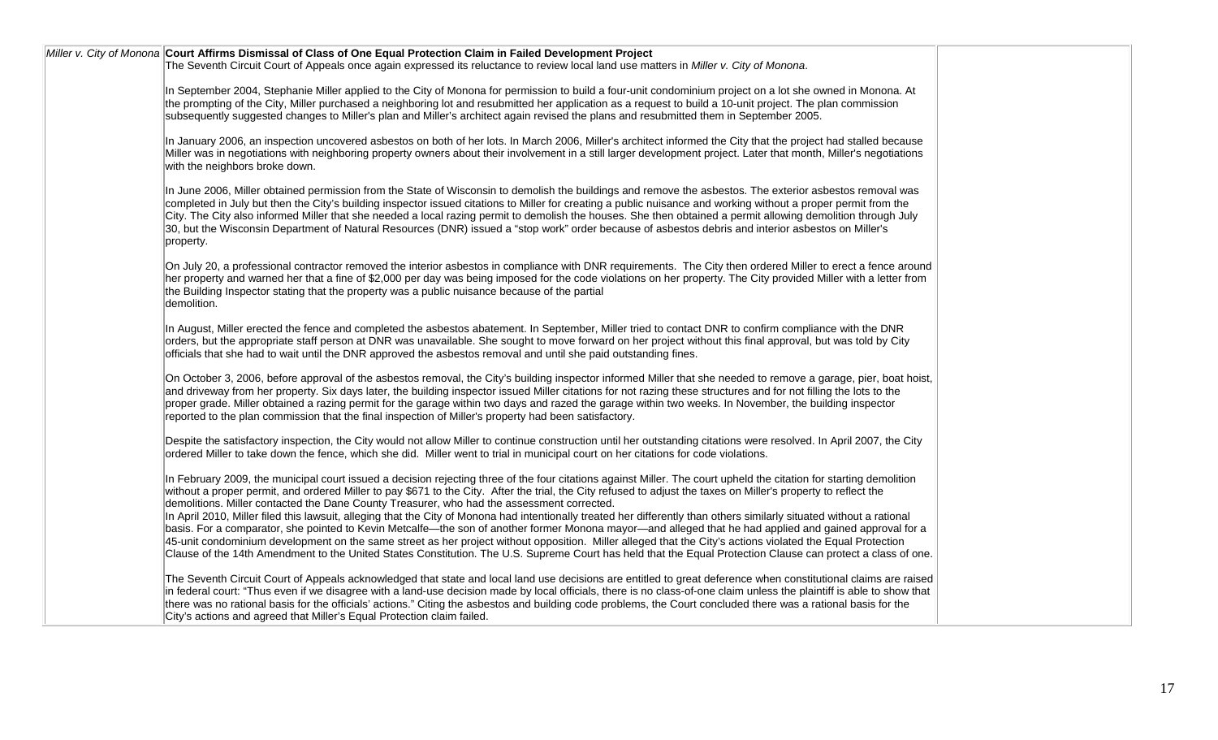| Miller v. City of Monona Court Affirms Dismissal of Class of One Equal Protection Claim in Failed Development Project<br>The Seventh Circuit Court of Appeals once again expressed its reluctance to review local land use matters in Miller v. City of Monona.                                                                                                                                                                                                                                                                                                                                                                                                                                                                                                                                                                                                                                                                                                                                                                                                                                         |
|---------------------------------------------------------------------------------------------------------------------------------------------------------------------------------------------------------------------------------------------------------------------------------------------------------------------------------------------------------------------------------------------------------------------------------------------------------------------------------------------------------------------------------------------------------------------------------------------------------------------------------------------------------------------------------------------------------------------------------------------------------------------------------------------------------------------------------------------------------------------------------------------------------------------------------------------------------------------------------------------------------------------------------------------------------------------------------------------------------|
| In September 2004, Stephanie Miller applied to the City of Monona for permission to build a four-unit condominium project on a lot she owned in Monona. At<br>the prompting of the City, Miller purchased a neighboring lot and resubmitted her application as a request to build a 10-unit project. The plan commission<br>subsequently suggested changes to Miller's plan and Miller's architect again revised the plans and resubmitted them in September 2005.                                                                                                                                                                                                                                                                                                                                                                                                                                                                                                                                                                                                                                      |
| In January 2006, an inspection uncovered asbestos on both of her lots. In March 2006, Miller's architect informed the City that the project had stalled because<br>Miller was in negotiations with neighboring property owners about their involvement in a still larger development project. Later that month, Miller's negotiations<br>with the neighbors broke down.                                                                                                                                                                                                                                                                                                                                                                                                                                                                                                                                                                                                                                                                                                                                 |
| In June 2006, Miller obtained permission from the State of Wisconsin to demolish the buildings and remove the asbestos. The exterior asbestos removal was<br>completed in July but then the City's building inspector issued citations to Miller for creating a public nuisance and working without a proper permit from the<br>City. The City also informed Miller that she needed a local razing permit to demolish the houses. She then obtained a permit allowing demolition through July<br>30, but the Wisconsin Department of Natural Resources (DNR) issued a "stop work" order because of asbestos debris and interior asbestos on Miller's<br>property.                                                                                                                                                                                                                                                                                                                                                                                                                                       |
| On July 20, a professional contractor removed the interior asbestos in compliance with DNR requirements. The City then ordered Miller to erect a fence around<br>her property and warned her that a fine of \$2,000 per day was being imposed for the code violations on her property. The City provided Miller with a letter from<br>the Building Inspector stating that the property was a public nuisance because of the partial<br>demolition.                                                                                                                                                                                                                                                                                                                                                                                                                                                                                                                                                                                                                                                      |
| In August, Miller erected the fence and completed the asbestos abatement. In September, Miller tried to contact DNR to confirm compliance with the DNR<br>orders, but the appropriate staff person at DNR was unavailable. She sought to move forward on her project without this final approval, but was told by City<br>officials that she had to wait until the DNR approved the asbestos removal and until she paid outstanding fines.                                                                                                                                                                                                                                                                                                                                                                                                                                                                                                                                                                                                                                                              |
| On October 3, 2006, before approval of the asbestos removal, the City's building inspector informed Miller that she needed to remove a garage, pier, boat hoist,<br>and driveway from her property. Six days later, the building inspector issued Miller citations for not razing these structures and for not filling the lots to the<br>proper grade. Miller obtained a razing permit for the garage within two days and razed the garage within two weeks. In November, the building inspector<br>reported to the plan commission that the final inspection of Miller's property had been satisfactory.                                                                                                                                                                                                                                                                                                                                                                                                                                                                                              |
| Despite the satisfactory inspection, the City would not allow Miller to continue construction until her outstanding citations were resolved. In April 2007, the City<br>ordered Miller to take down the fence, which she did. Miller went to trial in municipal court on her citations for code violations.                                                                                                                                                                                                                                                                                                                                                                                                                                                                                                                                                                                                                                                                                                                                                                                             |
| In February 2009, the municipal court issued a decision rejecting three of the four citations against Miller. The court upheld the citation for starting demolition<br>without a proper permit, and ordered Miller to pay \$671 to the City. After the trial, the City refused to adjust the taxes on Miller's property to reflect the<br>demolitions. Miller contacted the Dane County Treasurer, who had the assessment corrected.<br>In April 2010, Miller filed this lawsuit, alleging that the City of Monona had intentionally treated her differently than others similarly situated without a rational<br>basis. For a comparator, she pointed to Kevin Metcalfe—the son of another former Monona mayor—and alleged that he had applied and gained approval for a<br>45-unit condominium development on the same street as her project without opposition. Miller alleged that the City's actions violated the Equal Protection<br>Clause of the 14th Amendment to the United States Constitution. The U.S. Supreme Court has held that the Equal Protection Clause can protect a class of one. |
| The Seventh Circuit Court of Appeals acknowledged that state and local land use decisions are entitled to great deference when constitutional claims are raised<br>in federal court: "Thus even if we disagree with a land-use decision made by local officials, there is no class-of-one claim unless the plaintiff is able to show that<br>there was no rational basis for the officials' actions." Citing the asbestos and building code problems, the Court concluded there was a rational basis for the<br>City's actions and agreed that Miller's Equal Protection claim failed.                                                                                                                                                                                                                                                                                                                                                                                                                                                                                                                  |